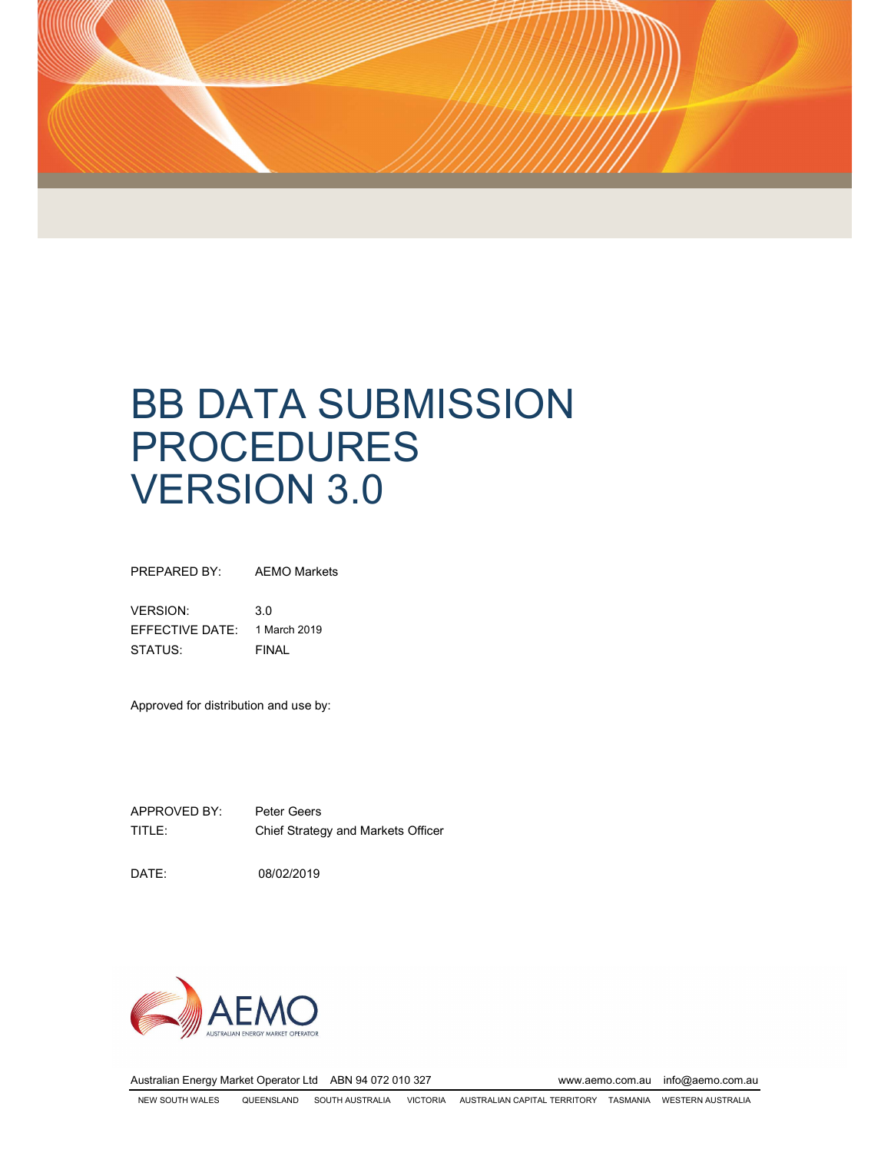

# BB DATA SUBMISSION PROCEDURES VERSION 3.0

PREPARED BY: AEMO Markets

VERSION: 3.0 EFFECTIVE DATE: 1 March 2019 STATUS: FINAL

Approved for distribution and use by:

APPROVED BY: Peter Geers TITLE: Chief Strategy and Markets Officer

DATE: 08/02/2019



Australian Energy Market Operator Ltd ABN 94 072 010 327 www.aemo.com.au info@aemo.com.au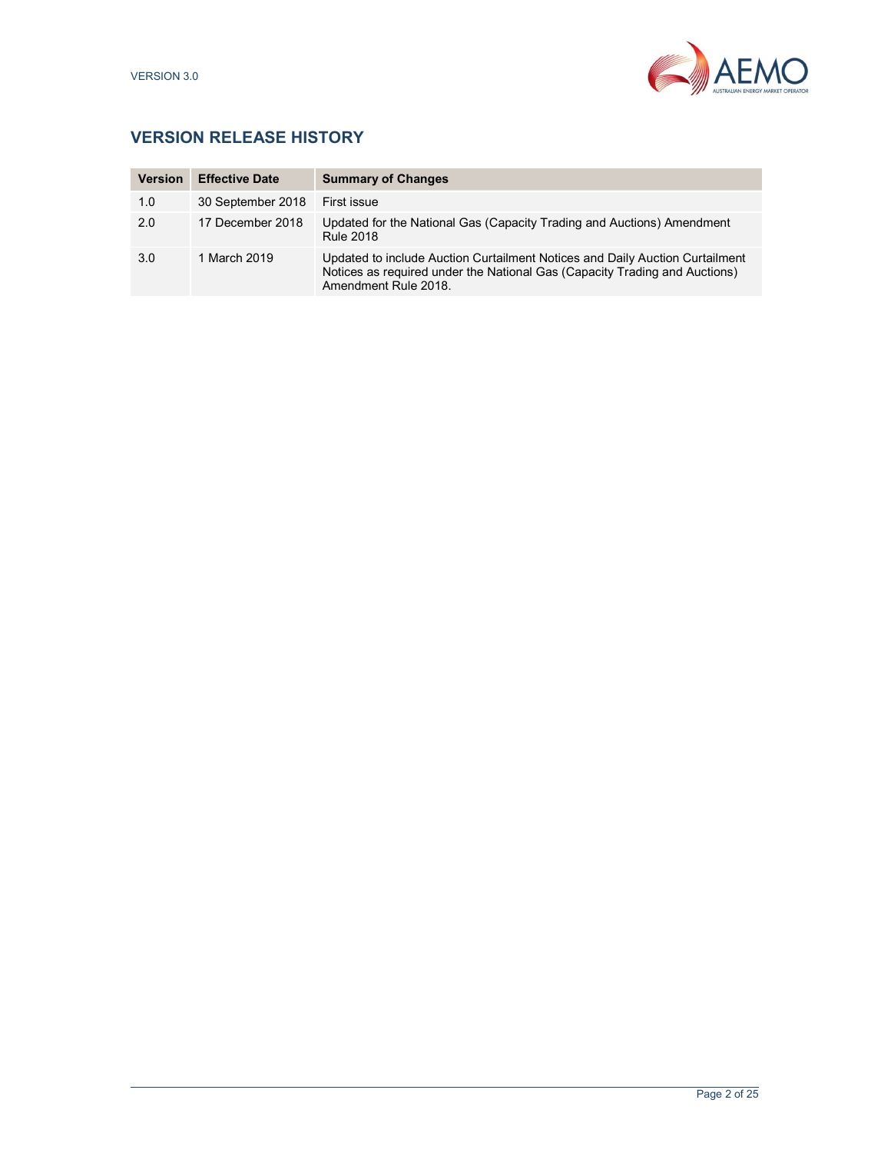

# VERSION RELEASE HISTORY

| <b>Version</b> | <b>Effective Date</b> | <b>Summary of Changes</b>                                                                                                                                                          |
|----------------|-----------------------|------------------------------------------------------------------------------------------------------------------------------------------------------------------------------------|
| 1.0            | 30 September 2018     | First issue                                                                                                                                                                        |
| 2.0            | 17 December 2018      | Updated for the National Gas (Capacity Trading and Auctions) Amendment<br><b>Rule 2018</b>                                                                                         |
| 3.0            | 1 March 2019          | Updated to include Auction Curtailment Notices and Daily Auction Curtailment<br>Notices as required under the National Gas (Capacity Trading and Auctions)<br>Amendment Rule 2018. |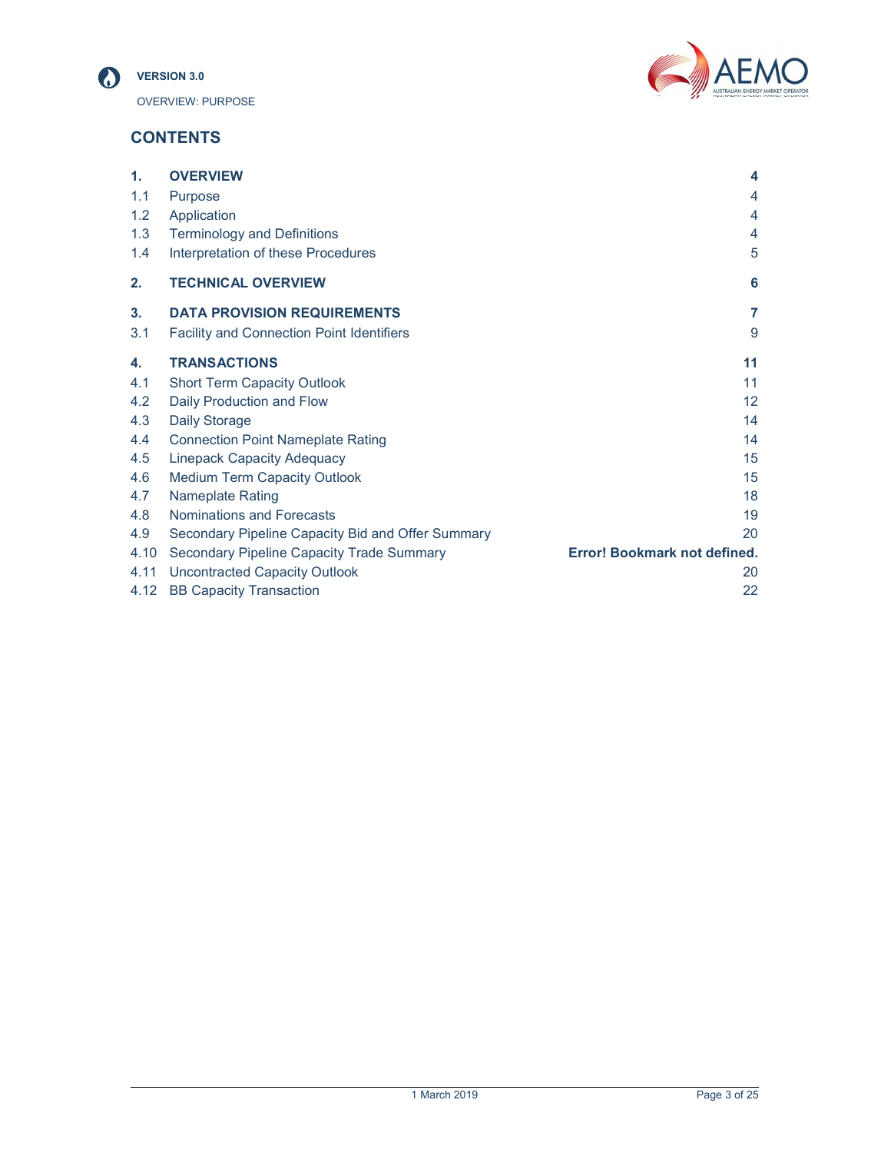



# **CONTENTS**

| $\mathbf{1}$ . | <b>OVERVIEW</b>                                   | 4                            |
|----------------|---------------------------------------------------|------------------------------|
| 1.1            | <b>Purpose</b>                                    | 4                            |
| 1.2            | Application                                       | 4                            |
| 1.3            | <b>Terminology and Definitions</b>                | 4                            |
| 1.4            | Interpretation of these Procedures                | 5                            |
| 2.             | <b>TECHNICAL OVERVIEW</b>                         | 6                            |
| 3.             | <b>DATA PROVISION REQUIREMENTS</b>                | $\overline{7}$               |
| 3.1            | <b>Facility and Connection Point Identifiers</b>  | 9                            |
| 4.             | <b>TRANSACTIONS</b>                               | 11                           |
| 4.1            | <b>Short Term Capacity Outlook</b>                | 11                           |
| 4.2            | Daily Production and Flow                         | $12 \overline{ }$            |
| 4.3            | Daily Storage                                     | 14                           |
| 4.4            | <b>Connection Point Nameplate Rating</b>          | 14                           |
| 4.5            | <b>Linepack Capacity Adequacy</b>                 | 15                           |
| 4.6            | <b>Medium Term Capacity Outlook</b>               | 15                           |
| 4.7            | <b>Nameplate Rating</b>                           | 18                           |
| 4.8            | Nominations and Forecasts                         | 19                           |
| 4.9            | Secondary Pipeline Capacity Bid and Offer Summary | 20                           |
| 4.10           | <b>Secondary Pipeline Capacity Trade Summary</b>  | Error! Bookmark not defined. |
| 4.11           | <b>Uncontracted Capacity Outlook</b>              | 20                           |
| 4.12           | <b>BB Capacity Transaction</b>                    | 22                           |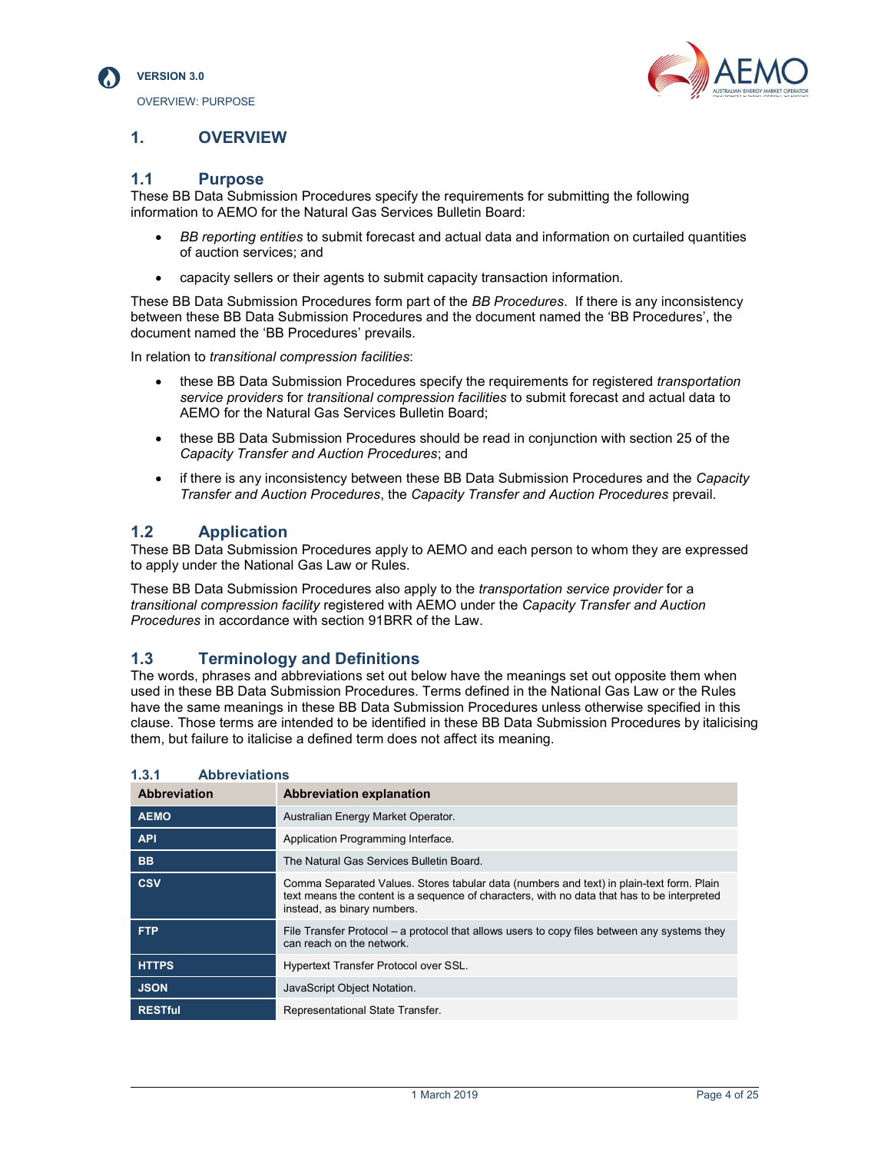



# 1. OVERVIEW

# 1.1 Purpose

These BB Data Submission Procedures specify the requirements for submitting the following information to AEMO for the Natural Gas Services Bulletin Board:

- BB reporting entities to submit forecast and actual data and information on curtailed quantities of auction services; and
- capacity sellers or their agents to submit capacity transaction information.

These BB Data Submission Procedures form part of the BB Procedures. If there is any inconsistency between these BB Data Submission Procedures and the document named the 'BB Procedures', the document named the 'BB Procedures' prevails.

In relation to transitional compression facilities:

- these BB Data Submission Procedures specify the requirements for registered transportation service providers for transitional compression facilities to submit forecast and actual data to AEMO for the Natural Gas Services Bulletin Board;
- these BB Data Submission Procedures should be read in conjunction with section 25 of the Capacity Transfer and Auction Procedures; and
- if there is any inconsistency between these BB Data Submission Procedures and the Capacity Transfer and Auction Procedures, the Capacity Transfer and Auction Procedures prevail.

# 1.2 Application

These BB Data Submission Procedures apply to AEMO and each person to whom they are expressed to apply under the National Gas Law or Rules.

These BB Data Submission Procedures also apply to the *transportation service provider* for a transitional compression facility registered with AEMO under the Capacity Transfer and Auction Procedures in accordance with section 91BRR of the Law.

# 1.3 Terminology and Definitions

The words, phrases and abbreviations set out below have the meanings set out opposite them when used in these BB Data Submission Procedures. Terms defined in the National Gas Law or the Rules have the same meanings in these BB Data Submission Procedures unless otherwise specified in this clause. Those terms are intended to be identified in these BB Data Submission Procedures by italicising them, but failure to italicise a defined term does not affect its meaning.

| 1.0.1<br><b>ADDIEVIQUOIIS</b> |                                                                                                                                                                                                                        |  |  |  |
|-------------------------------|------------------------------------------------------------------------------------------------------------------------------------------------------------------------------------------------------------------------|--|--|--|
| Abbreviation                  | <b>Abbreviation explanation</b>                                                                                                                                                                                        |  |  |  |
| <b>AEMO</b>                   | Australian Energy Market Operator.                                                                                                                                                                                     |  |  |  |
| <b>API</b>                    | Application Programming Interface.                                                                                                                                                                                     |  |  |  |
| <b>BB</b>                     | The Natural Gas Services Bulletin Board.                                                                                                                                                                               |  |  |  |
| <b>CSV</b>                    | Comma Separated Values. Stores tabular data (numbers and text) in plain-text form. Plain<br>text means the content is a sequence of characters, with no data that has to be interpreted<br>instead, as binary numbers. |  |  |  |
| <b>FTP</b>                    | File Transfer Protocol – a protocol that allows users to copy files between any systems they<br>can reach on the network.                                                                                              |  |  |  |
| <b>HTTPS</b>                  | Hypertext Transfer Protocol over SSL.                                                                                                                                                                                  |  |  |  |
| <b>JSON</b>                   | JavaScript Object Notation.                                                                                                                                                                                            |  |  |  |
| <b>RESTful</b>                | Representational State Transfer.                                                                                                                                                                                       |  |  |  |

1.3.1 Abbreviations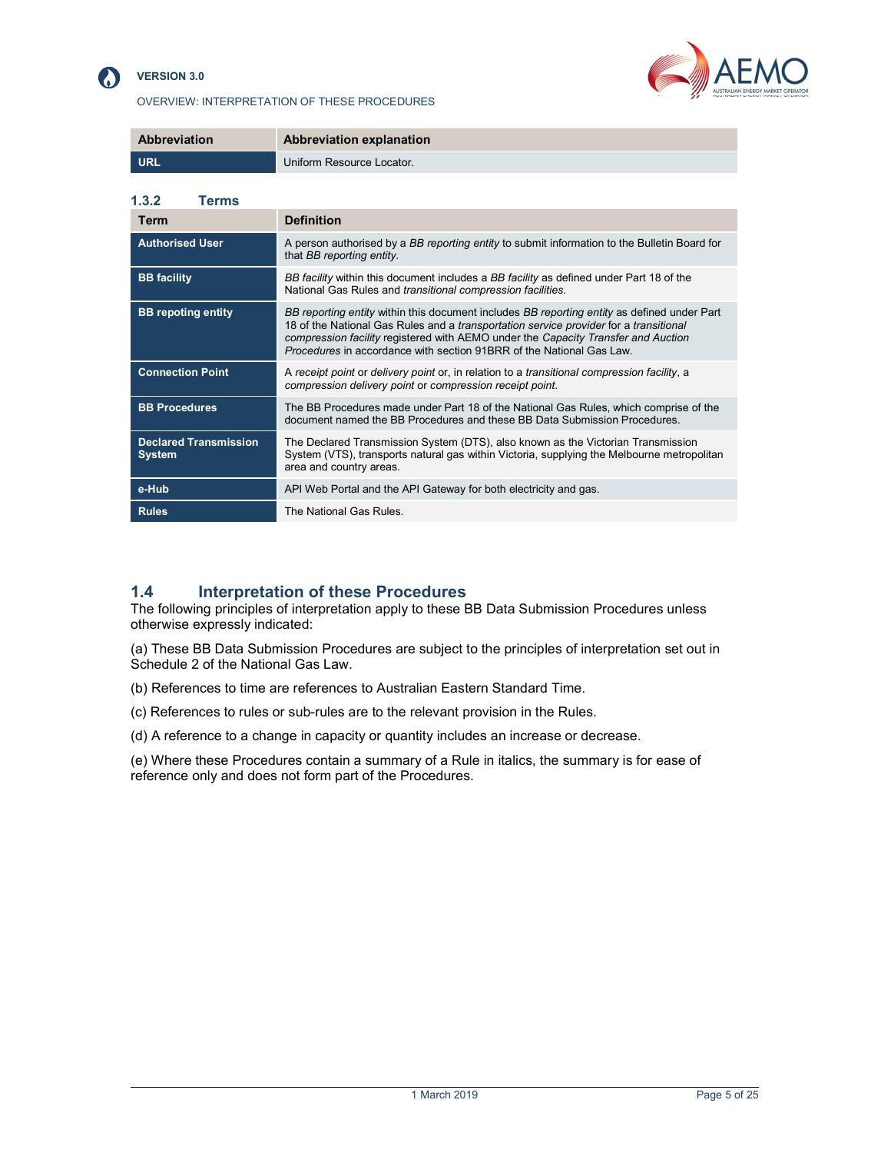

## VERSION 3.0





| <b>Abbreviation</b> | Abbreviation explanation  |
|---------------------|---------------------------|
| L URL               | Uniform Resource Locator. |

| 1.3.2<br>Terms                                |                                                                                                                                                                                                                                                                                                                                                          |
|-----------------------------------------------|----------------------------------------------------------------------------------------------------------------------------------------------------------------------------------------------------------------------------------------------------------------------------------------------------------------------------------------------------------|
| Term                                          | <b>Definition</b>                                                                                                                                                                                                                                                                                                                                        |
| <b>Authorised User</b>                        | A person authorised by a BB reporting entity to submit information to the Bulletin Board for<br>that BB reporting entity.                                                                                                                                                                                                                                |
| <b>BB</b> facility                            | BB facility within this document includes a BB facility as defined under Part 18 of the<br>National Gas Rules and transitional compression facilities.                                                                                                                                                                                                   |
| <b>BB</b> repoting entity                     | BB reporting entity within this document includes BB reporting entity as defined under Part<br>18 of the National Gas Rules and a transportation service provider for a transitional<br>compression facility registered with AEMO under the Capacity Transfer and Auction<br><i>Procedures</i> in accordance with section 91BRR of the National Gas Law. |
| <b>Connection Point</b>                       | A receipt point or delivery point or, in relation to a transitional compression facility, a<br>compression delivery point or compression receipt point.                                                                                                                                                                                                  |
| <b>BB Procedures</b>                          | The BB Procedures made under Part 18 of the National Gas Rules, which comprise of the<br>document named the BB Procedures and these BB Data Submission Procedures.                                                                                                                                                                                       |
| <b>Declared Transmission</b><br><b>System</b> | The Declared Transmission System (DTS), also known as the Victorian Transmission<br>System (VTS), transports natural gas within Victoria, supplying the Melbourne metropolitan<br>area and country areas.                                                                                                                                                |
| e-Hub                                         | API Web Portal and the API Gateway for both electricity and gas.                                                                                                                                                                                                                                                                                         |
| <b>Rules</b>                                  | The National Gas Rules.                                                                                                                                                                                                                                                                                                                                  |

## 1.4 Interpretation of these Procedures

The following principles of interpretation apply to these BB Data Submission Procedures unless otherwise expressly indicated:

(a) These BB Data Submission Procedures are subject to the principles of interpretation set out in Schedule 2 of the National Gas Law.

- (b) References to time are references to Australian Eastern Standard Time.
- (c) References to rules or sub-rules are to the relevant provision in the Rules.
- (d) A reference to a change in capacity or quantity includes an increase or decrease.

(e) Where these Procedures contain a summary of a Rule in italics, the summary is for ease of reference only and does not form part of the Procedures.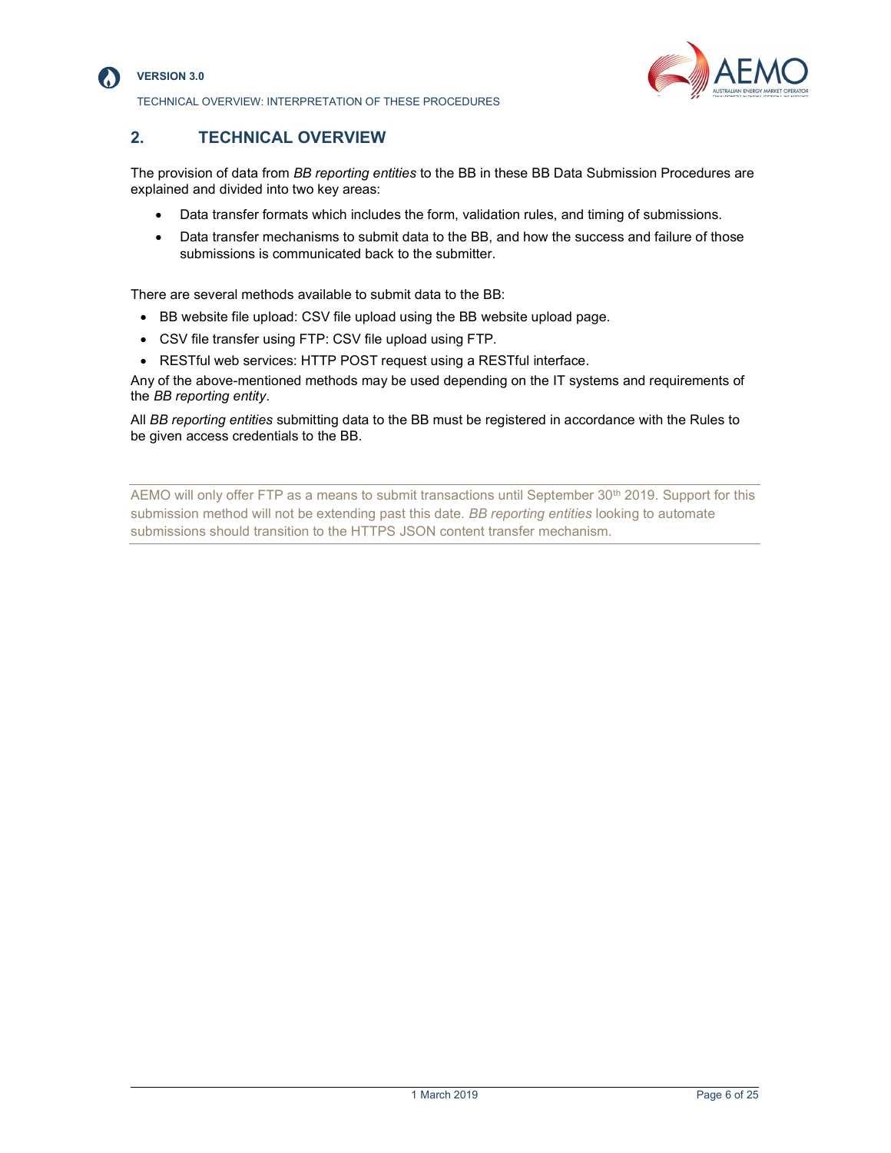

#### VERSION 3.0

TECHNICAL OVERVIEW: INTERPRETATION OF THESE PROCEDURES



## 2. TECHNICAL OVERVIEW

The provision of data from BB reporting entities to the BB in these BB Data Submission Procedures are explained and divided into two key areas:

- Data transfer formats which includes the form, validation rules, and timing of submissions.
- Data transfer mechanisms to submit data to the BB, and how the success and failure of those submissions is communicated back to the submitter.

There are several methods available to submit data to the BB:

- BB website file upload: CSV file upload using the BB website upload page.
- CSV file transfer using FTP: CSV file upload using FTP.
- RESTful web services: HTTP POST request using a RESTful interface.

Any of the above-mentioned methods may be used depending on the IT systems and requirements of the BB reporting entity.

All BB reporting entities submitting data to the BB must be registered in accordance with the Rules to be given access credentials to the BB.

AEMO will only offer FTP as a means to submit transactions until September 30<sup>th</sup> 2019. Support for this submission method will not be extending past this date. BB reporting entities looking to automate submissions should transition to the HTTPS JSON content transfer mechanism.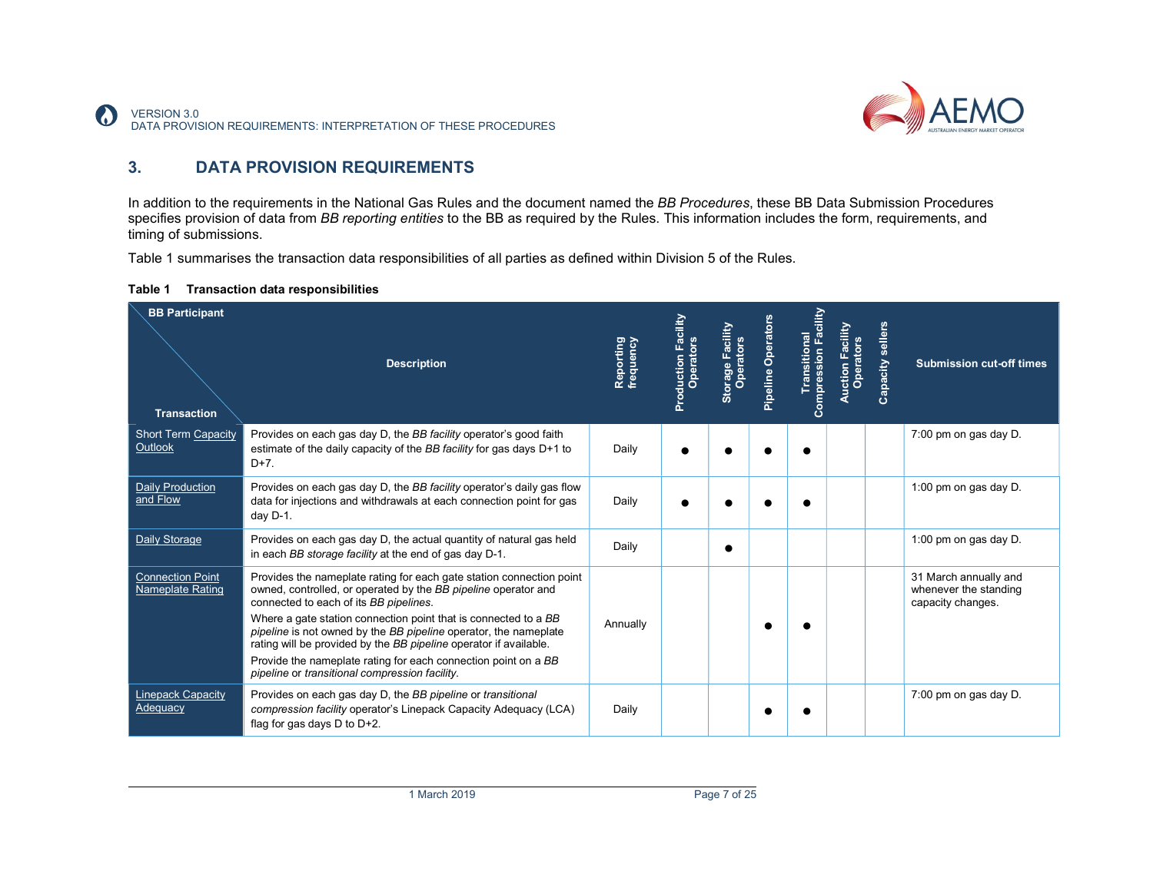

# 3. DATA PROVISION REQUIREMENTS

In addition to the requirements in the National Gas Rules and the document named the BB Procedures, these BB Data Submission Procedures specifies provision of data from BB reporting entities to the BB as required by the Rules. This information includes the form, requirements, and timing of submissions.

Table 1 summarises the transaction data responsibilities of all parties as defined within Division 5 of the Rules.

| Table 1 |  |  | <b>Transaction data responsibilities</b> |
|---------|--|--|------------------------------------------|
|---------|--|--|------------------------------------------|

| <b>BB Participant</b>                                       | <b>Description</b>                                                                                                                                                                                                                                                                                                                                                                                                                                                                                               | Reporting<br>frequency | Facility<br><b>Production Fac</b><br>Operators | Storage Facility<br>Operators | Pipeline Operators | cility<br>인<br>Transitional<br>ompression | Auction Facility<br>Operators | Capacity sellers | <b>Submission cut-off times</b>                                     |
|-------------------------------------------------------------|------------------------------------------------------------------------------------------------------------------------------------------------------------------------------------------------------------------------------------------------------------------------------------------------------------------------------------------------------------------------------------------------------------------------------------------------------------------------------------------------------------------|------------------------|------------------------------------------------|-------------------------------|--------------------|-------------------------------------------|-------------------------------|------------------|---------------------------------------------------------------------|
| <b>Transaction</b><br><b>Short Term Capacity</b><br>Outlook | Provides on each gas day D, the BB facility operator's good faith<br>estimate of the daily capacity of the BB facility for gas days D+1 to<br>$D+7$ .                                                                                                                                                                                                                                                                                                                                                            | Daily                  |                                                |                               |                    |                                           |                               |                  | 7:00 pm on gas day D.                                               |
| <b>Daily Production</b><br>and Flow                         | Provides on each gas day D, the BB facility operator's daily gas flow<br>data for injections and withdrawals at each connection point for gas<br>day D-1.                                                                                                                                                                                                                                                                                                                                                        | Daily                  |                                                |                               |                    |                                           |                               |                  | 1:00 pm on gas day D.                                               |
| <b>Daily Storage</b>                                        | Provides on each gas day D, the actual quantity of natural gas held<br>in each BB storage facility at the end of gas day D-1.                                                                                                                                                                                                                                                                                                                                                                                    | Daily                  |                                                |                               |                    |                                           |                               |                  | 1:00 pm on gas day D.                                               |
| <b>Connection Point</b><br>Nameplate Rating                 | Provides the nameplate rating for each gate station connection point<br>owned, controlled, or operated by the BB pipeline operator and<br>connected to each of its BB pipelines.<br>Where a gate station connection point that is connected to a BB<br>pipeline is not owned by the BB pipeline operator, the nameplate<br>rating will be provided by the BB pipeline operator if available.<br>Provide the nameplate rating for each connection point on a BB<br>pipeline or transitional compression facility. | Annually               |                                                |                               |                    |                                           |                               |                  | 31 March annually and<br>whenever the standing<br>capacity changes. |
| <b>Linepack Capacity</b><br>Adequacy                        | Provides on each gas day D, the BB pipeline or transitional<br>compression facility operator's Linepack Capacity Adequacy (LCA)<br>flag for gas days $D$ to $D+2$ .                                                                                                                                                                                                                                                                                                                                              | Daily                  |                                                |                               |                    |                                           |                               |                  | 7:00 pm on gas day D.                                               |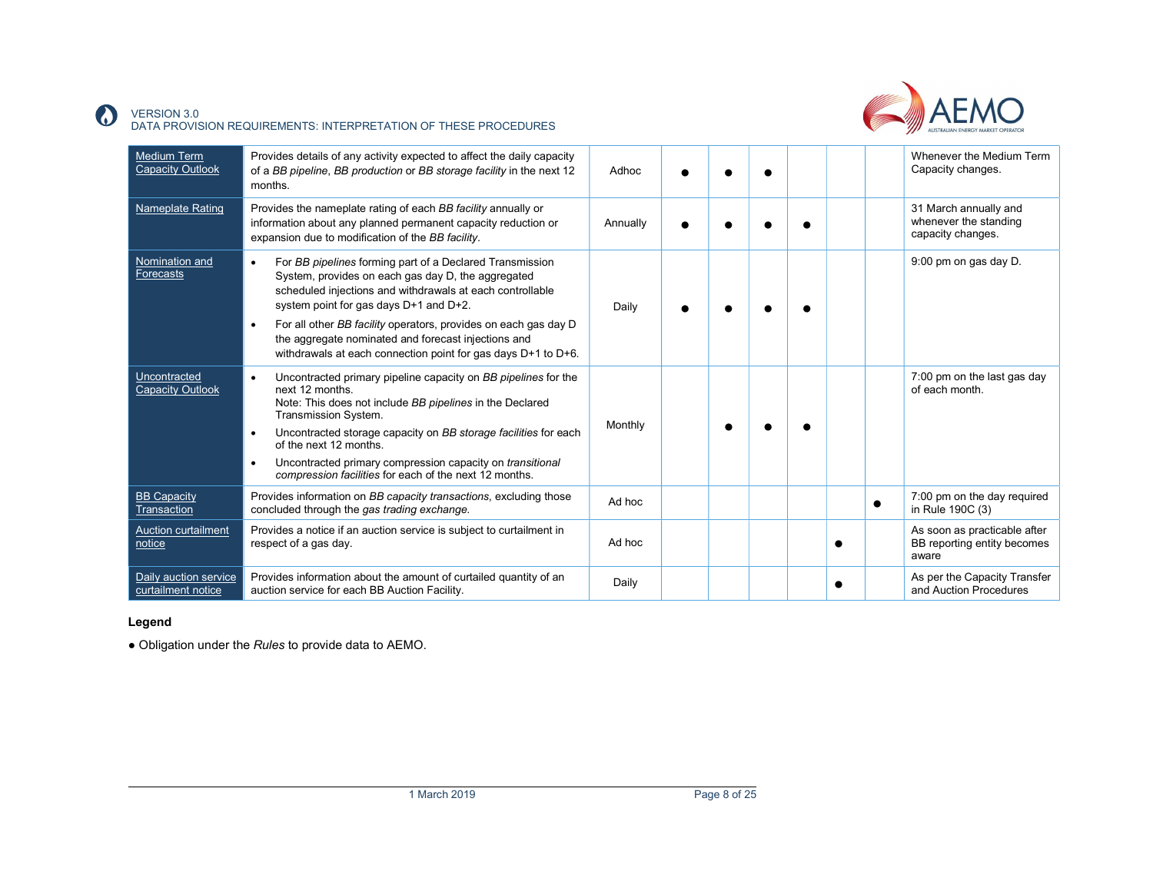

#### VERSION 3.0 DATA PROVISION REQUIREMENTS: INTERPRETATION OF THESE PROCEDURES

| <b>Medium Term</b><br><b>Capacity Outlook</b> | Provides details of any activity expected to affect the daily capacity<br>of a BB pipeline, BB production or BB storage facility in the next 12<br>months.                                                                                                                                                                                                                                                                                 | Adhoc    |  |  |           | Whenever the Medium Term<br>Capacity changes.                        |
|-----------------------------------------------|--------------------------------------------------------------------------------------------------------------------------------------------------------------------------------------------------------------------------------------------------------------------------------------------------------------------------------------------------------------------------------------------------------------------------------------------|----------|--|--|-----------|----------------------------------------------------------------------|
| <b>Nameplate Rating</b>                       | Provides the nameplate rating of each BB facility annually or<br>information about any planned permanent capacity reduction or<br>expansion due to modification of the BB facility.                                                                                                                                                                                                                                                        | Annually |  |  |           | 31 March annually and<br>whenever the standing<br>capacity changes.  |
| Nomination and<br>Forecasts                   | For BB pipelines forming part of a Declared Transmission<br>$\bullet$<br>System, provides on each gas day D, the aggregated<br>scheduled injections and withdrawals at each controllable<br>system point for gas days D+1 and D+2.<br>For all other BB facility operators, provides on each gas day D<br>$\bullet$<br>the aggregate nominated and forecast injections and<br>withdrawals at each connection point for gas days D+1 to D+6. | Daily    |  |  |           | 9:00 pm on gas day D.                                                |
| Uncontracted<br>Capacity Outlook              | Uncontracted primary pipeline capacity on BB pipelines for the<br>$\bullet$<br>next 12 months.<br>Note: This does not include BB pipelines in the Declared<br>Transmission System.<br>Uncontracted storage capacity on BB storage facilities for each<br>$\bullet$<br>of the next 12 months.<br>Uncontracted primary compression capacity on transitional<br>$\bullet$<br>compression facilities for each of the next 12 months.           | Monthly  |  |  |           | 7:00 pm on the last gas day<br>of each month.                        |
| <b>BB Capacity</b><br>Transaction             | Provides information on BB capacity transactions, excluding those<br>concluded through the gas trading exchange.                                                                                                                                                                                                                                                                                                                           | Ad hoc   |  |  | $\bullet$ | 7:00 pm on the day required<br>in Rule 190C (3)                      |
| <b>Auction curtailment</b><br>notice          | Provides a notice if an auction service is subject to curtailment in<br>respect of a gas day.                                                                                                                                                                                                                                                                                                                                              | Ad hoc   |  |  |           | As soon as practicable after<br>BB reporting entity becomes<br>aware |
| Daily auction service<br>curtailment notice   | Provides information about the amount of curtailed quantity of an<br>auction service for each BB Auction Facility.                                                                                                                                                                                                                                                                                                                         | Daily    |  |  |           | As per the Capacity Transfer<br>and Auction Procedures               |

## Legend

 $\Omega$ 

• Obligation under the Rules to provide data to AEMO.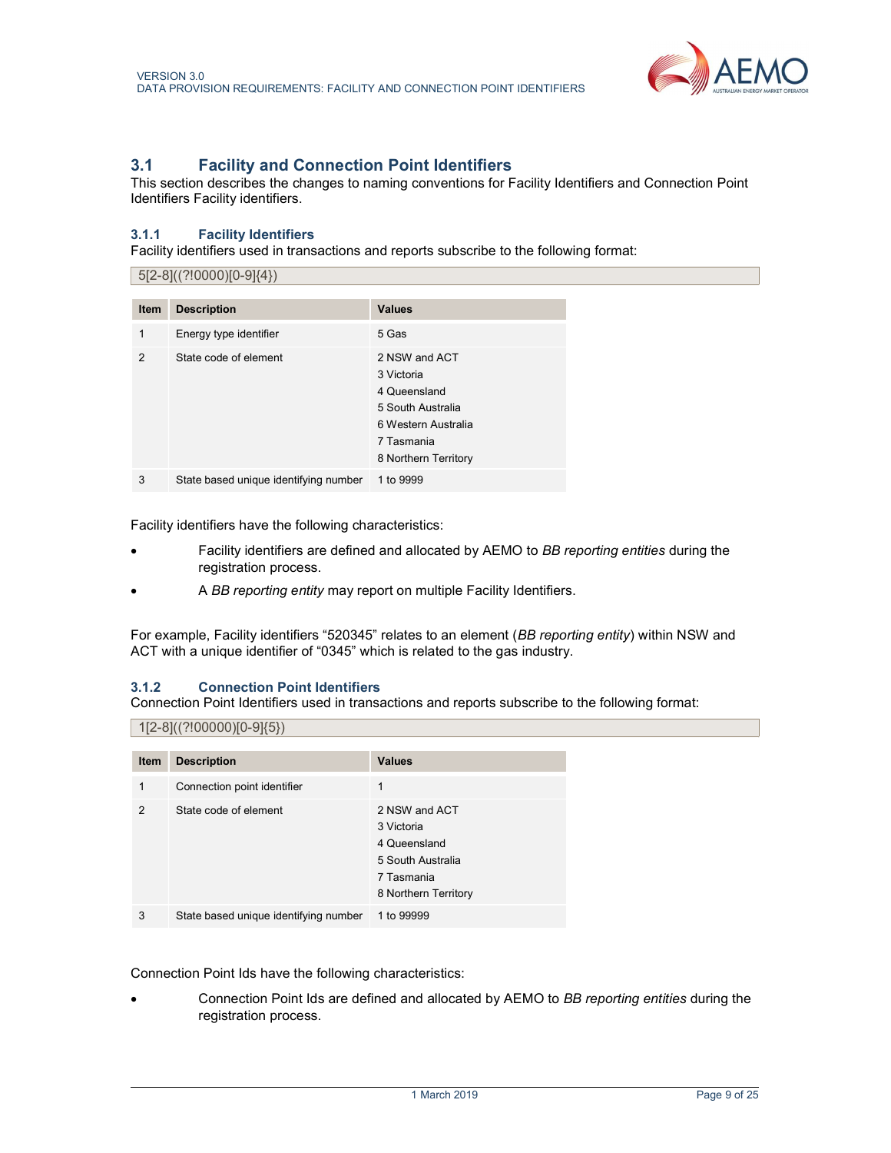

# 3.1 Facility and Connection Point Identifiers

This section describes the changes to naming conventions for Facility Identifiers and Connection Point Identifiers Facility identifiers.

## 3.1.1 Facility Identifiers

Facility identifiers used in transactions and reports subscribe to the following format:

|                | 5[2-8]((?!0000)[0-9]{4})              |                                                                                                                               |  |  |  |  |  |
|----------------|---------------------------------------|-------------------------------------------------------------------------------------------------------------------------------|--|--|--|--|--|
| Item           | <b>Description</b>                    | <b>Values</b>                                                                                                                 |  |  |  |  |  |
| 1              | Energy type identifier                | 5 Gas                                                                                                                         |  |  |  |  |  |
| $\mathfrak{p}$ | State code of element                 | 2 NSW and ACT<br>3 Victoria<br>4 Queensland<br>5 South Australia<br>6 Western Australia<br>7 Tasmania<br>8 Northern Territory |  |  |  |  |  |
| 3              | State based unique identifying number | 1 to 9999                                                                                                                     |  |  |  |  |  |

Facility identifiers have the following characteristics:

- Facility identifiers are defined and allocated by AEMO to BB reporting entities during the registration process.
- A BB reporting entity may report on multiple Facility Identifiers.

For example, Facility identifiers "520345" relates to an element (BB reporting entity) within NSW and ACT with a unique identifier of "0345" which is related to the gas industry.

## 3.1.2 Connection Point Identifiers

Connection Point Identifiers used in transactions and reports subscribe to the following format:

#### $| 1[2-8]$ ((?!00000)[0-9]{5})

| <b>Item</b>    | <b>Description</b>                    | <b>Values</b>                                                                                          |
|----------------|---------------------------------------|--------------------------------------------------------------------------------------------------------|
| 1              | Connection point identifier           | 1                                                                                                      |
| $\mathfrak{p}$ | State code of element                 | 2 NSW and ACT<br>3 Victoria<br>4 Queensland<br>5 South Australia<br>7 Tasmania<br>8 Northern Territory |
| 3              | State based unique identifying number | 1 to 99999                                                                                             |

Connection Point Ids have the following characteristics:

 Connection Point Ids are defined and allocated by AEMO to BB reporting entities during the registration process.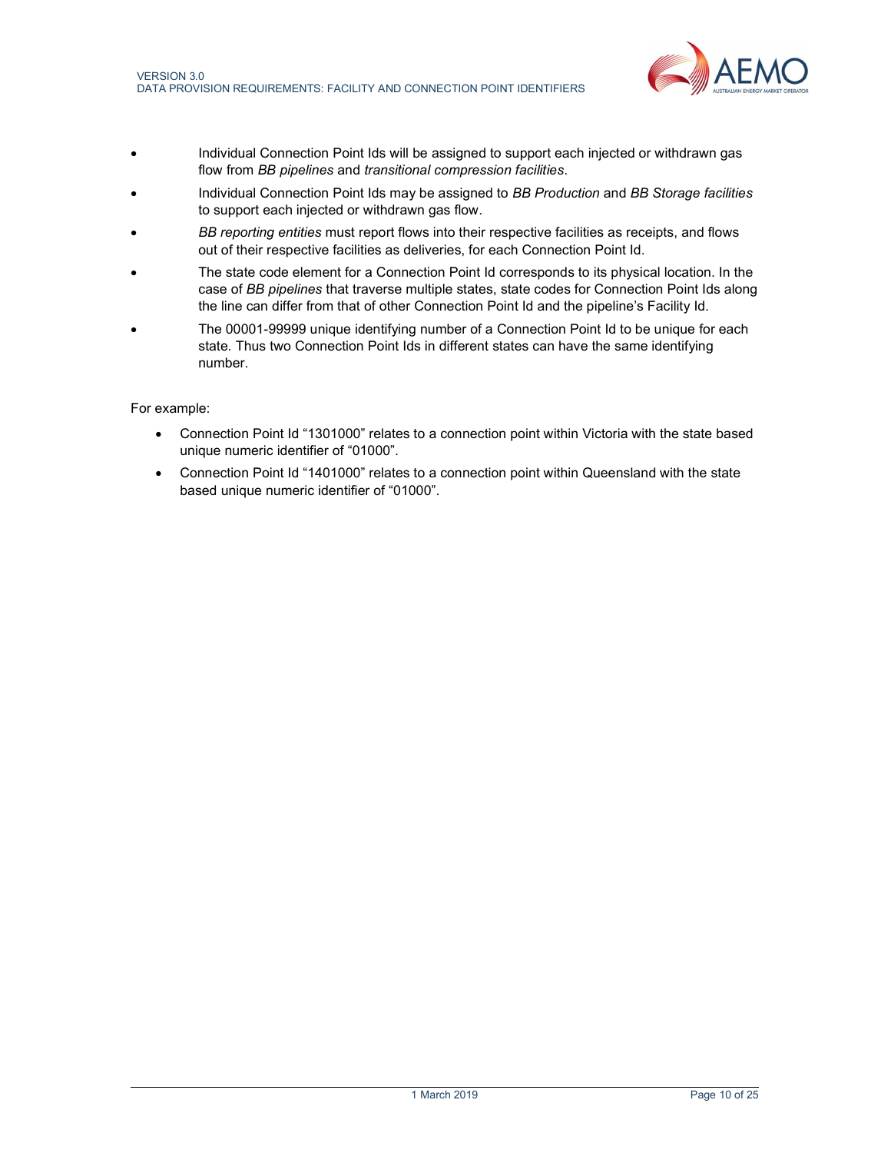

- Individual Connection Point Ids will be assigned to support each injected or withdrawn gas flow from BB pipelines and transitional compression facilities.
- Individual Connection Point Ids may be assigned to BB Production and BB Storage facilities to support each injected or withdrawn gas flow.
- BB reporting entities must report flows into their respective facilities as receipts, and flows out of their respective facilities as deliveries, for each Connection Point Id.
- The state code element for a Connection Point Id corresponds to its physical location. In the case of BB pipelines that traverse multiple states, state codes for Connection Point Ids along the line can differ from that of other Connection Point Id and the pipeline's Facility Id.
- The 00001-99999 unique identifying number of a Connection Point Id to be unique for each state. Thus two Connection Point Ids in different states can have the same identifying number.

## For example:

- Connection Point Id "1301000" relates to a connection point within Victoria with the state based unique numeric identifier of "01000".
- Connection Point Id "1401000" relates to a connection point within Queensland with the state based unique numeric identifier of "01000".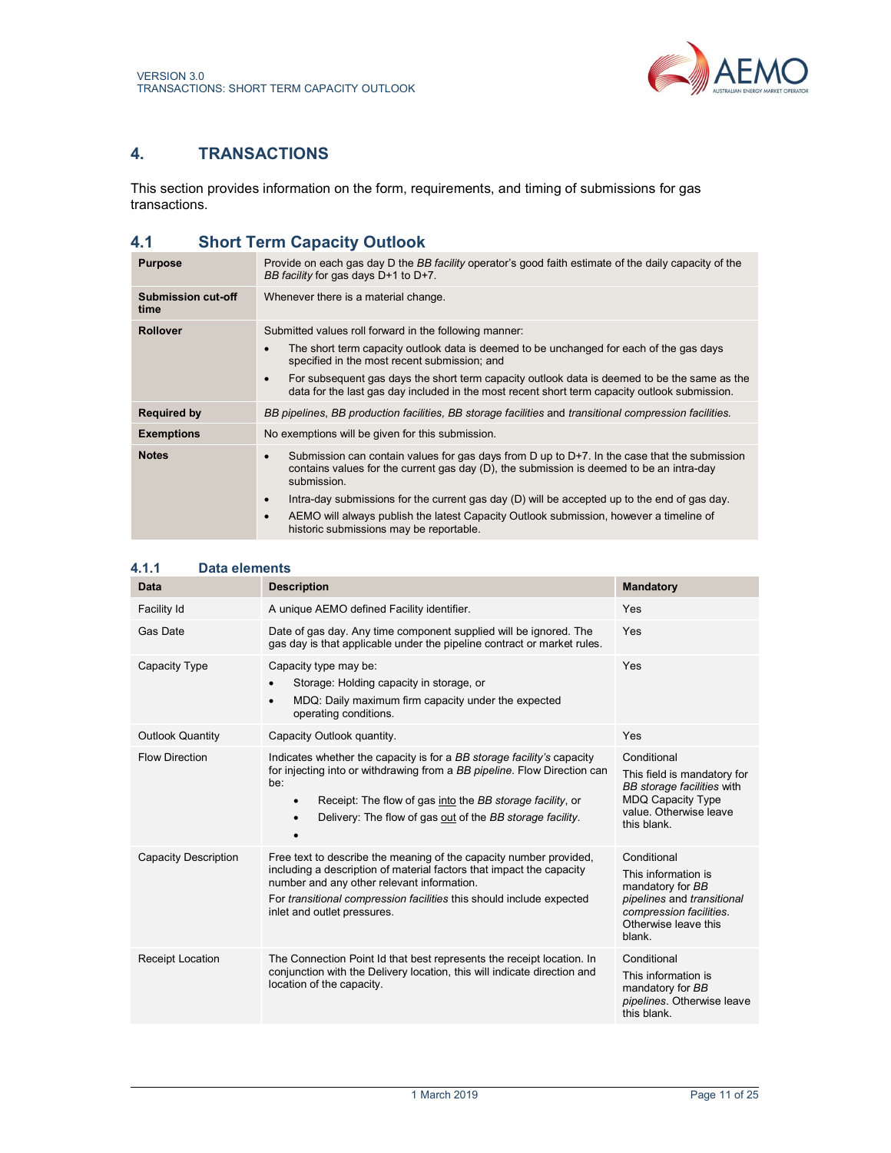

# 4. TRANSACTIONS

This section provides information on the form, requirements, and timing of submissions for gas transactions.

# 4.1 Short Term Capacity Outlook

| <b>Purpose</b>             | Provide on each gas day D the BB facility operator's good faith estimate of the daily capacity of the<br>BB facility for gas days D+1 to D+7.                                                                                                                                                                                                                                                                                                                                          |
|----------------------------|----------------------------------------------------------------------------------------------------------------------------------------------------------------------------------------------------------------------------------------------------------------------------------------------------------------------------------------------------------------------------------------------------------------------------------------------------------------------------------------|
| Submission cut-off<br>time | Whenever there is a material change.                                                                                                                                                                                                                                                                                                                                                                                                                                                   |
| <b>Rollover</b>            | Submitted values roll forward in the following manner:<br>The short term capacity outlook data is deemed to be unchanged for each of the gas days<br>$\bullet$<br>specified in the most recent submission; and<br>For subsequent gas days the short term capacity outlook data is deemed to be the same as the<br>data for the last gas day included in the most recent short term capacity outlook submission.                                                                        |
| <b>Required by</b>         | BB pipelines, BB production facilities, BB storage facilities and transitional compression facilities.                                                                                                                                                                                                                                                                                                                                                                                 |
| <b>Exemptions</b>          | No exemptions will be given for this submission.                                                                                                                                                                                                                                                                                                                                                                                                                                       |
| <b>Notes</b>               | Submission can contain values for gas days from D up to $D+7$ . In the case that the submission<br>$\bullet$<br>contains values for the current gas day (D), the submission is deemed to be an intra-day<br>submission.<br>Intra-day submissions for the current gas day (D) will be accepted up to the end of gas day.<br>$\bullet$<br>AEMO will always publish the latest Capacity Outlook submission, however a timeline of<br>$\bullet$<br>historic submissions may be reportable. |

## 4.1.1 Data elements

| Data                        | <b>Description</b>                                                                                                                                                                                                                                                                                            | <b>Mandatory</b>                                                                                                                                  |
|-----------------------------|---------------------------------------------------------------------------------------------------------------------------------------------------------------------------------------------------------------------------------------------------------------------------------------------------------------|---------------------------------------------------------------------------------------------------------------------------------------------------|
| <b>Facility Id</b>          | A unique AEMO defined Facility identifier.                                                                                                                                                                                                                                                                    | Yes                                                                                                                                               |
| Gas Date                    | Date of gas day. Any time component supplied will be ignored. The<br>gas day is that applicable under the pipeline contract or market rules.                                                                                                                                                                  | Yes                                                                                                                                               |
| Capacity Type               | Capacity type may be:<br>Storage: Holding capacity in storage, or<br>$\bullet$<br>MDQ: Daily maximum firm capacity under the expected<br>$\bullet$<br>operating conditions.                                                                                                                                   | Yes                                                                                                                                               |
| <b>Outlook Quantity</b>     | Capacity Outlook quantity.                                                                                                                                                                                                                                                                                    | Yes                                                                                                                                               |
| <b>Flow Direction</b>       | Indicates whether the capacity is for a BB storage facility's capacity<br>for injecting into or withdrawing from a BB pipeline. Flow Direction can<br>be:<br>Receipt: The flow of gas into the BB storage facility, or<br>$\bullet$<br>Delivery: The flow of gas out of the BB storage facility.<br>$\bullet$ | Conditional<br>This field is mandatory for<br>BB storage facilities with<br><b>MDQ Capacity Type</b><br>value. Otherwise leave<br>this blank.     |
| <b>Capacity Description</b> | Free text to describe the meaning of the capacity number provided,<br>including a description of material factors that impact the capacity<br>number and any other relevant information.<br>For transitional compression facilities this should include expected<br>inlet and outlet pressures.               | Conditional<br>This information is<br>mandatory for BB<br>pipelines and transitional<br>compression facilities.<br>Otherwise leave this<br>blank. |
| <b>Receipt Location</b>     | The Connection Point Id that best represents the receipt location. In<br>conjunction with the Delivery location, this will indicate direction and<br>location of the capacity.                                                                                                                                | Conditional<br>This information is<br>mandatory for BB<br>pipelines. Otherwise leave<br>this blank.                                               |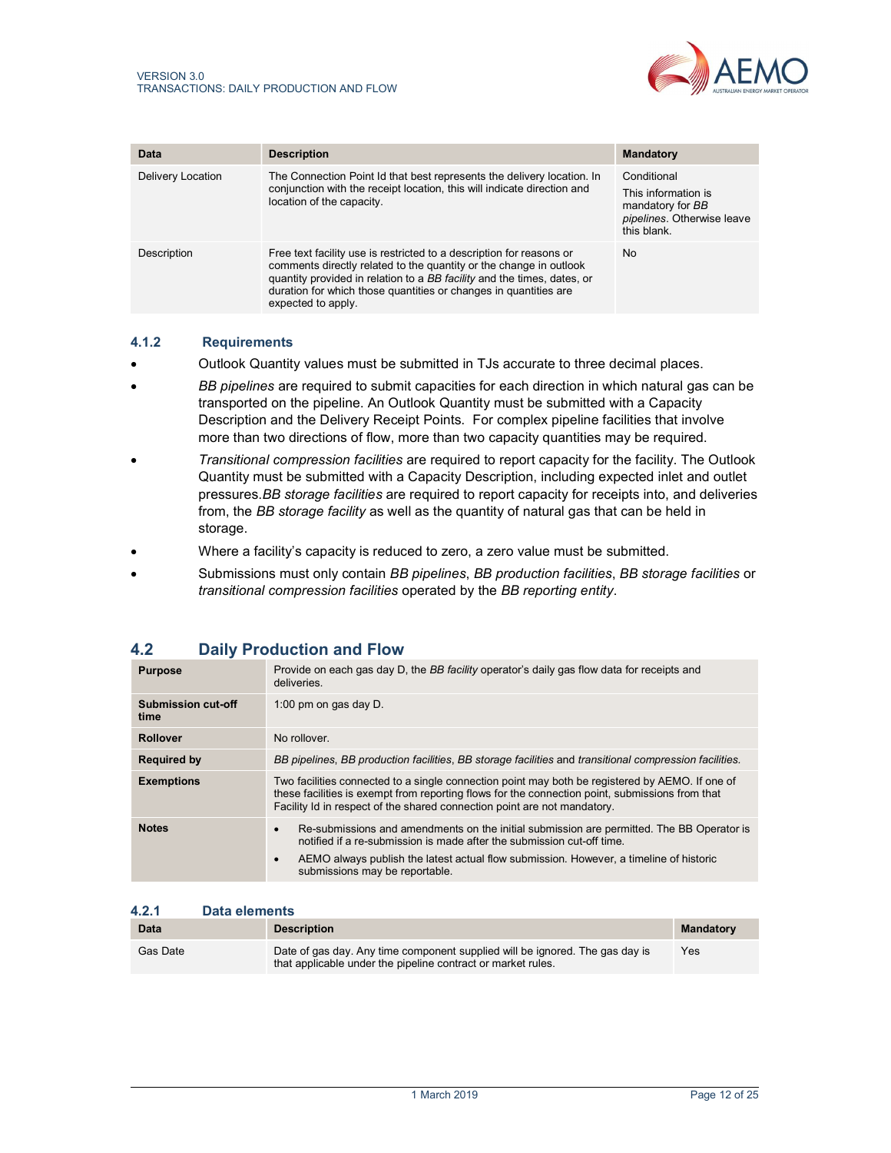

| Data              | <b>Description</b>                                                                                                                                                                                                                                                                                              | <b>Mandatory</b>                                                                                    |
|-------------------|-----------------------------------------------------------------------------------------------------------------------------------------------------------------------------------------------------------------------------------------------------------------------------------------------------------------|-----------------------------------------------------------------------------------------------------|
| Delivery Location | The Connection Point Id that best represents the delivery location. In<br>conjunction with the receipt location, this will indicate direction and<br>location of the capacity.                                                                                                                                  | Conditional<br>This information is<br>mandatory for BB<br>pipelines. Otherwise leave<br>this blank. |
| Description       | Free text facility use is restricted to a description for reasons or<br>comments directly related to the quantity or the change in outlook<br>quantity provided in relation to a BB facility and the times, dates, or<br>duration for which those quantities or changes in quantities are<br>expected to apply. | <b>No</b>                                                                                           |

#### 4.1.2 Requirements

- Outlook Quantity values must be submitted in TJs accurate to three decimal places.
- **BB pipelines are required to submit capacities for each direction in which natural gas can be** transported on the pipeline. An Outlook Quantity must be submitted with a Capacity Description and the Delivery Receipt Points. For complex pipeline facilities that involve more than two directions of flow, more than two capacity quantities may be required.
- **•** Transitional compression facilities are required to report capacity for the facility. The Outlook Quantity must be submitted with a Capacity Description, including expected inlet and outlet pressures.BB storage facilities are required to report capacity for receipts into, and deliveries from, the BB storage facility as well as the quantity of natural gas that can be held in storage.
- Where a facility's capacity is reduced to zero, a zero value must be submitted.
- Submissions must only contain BB pipelines, BB production facilities, BB storage facilities or transitional compression facilities operated by the BB reporting entity.

| ---                               |                                                                                                                                                                                                                                                                                                                           |
|-----------------------------------|---------------------------------------------------------------------------------------------------------------------------------------------------------------------------------------------------------------------------------------------------------------------------------------------------------------------------|
| <b>Purpose</b>                    | Provide on each gas day D, the BB facility operator's daily gas flow data for receipts and<br>deliveries.                                                                                                                                                                                                                 |
| <b>Submission cut-off</b><br>time | 1:00 pm on gas day D.                                                                                                                                                                                                                                                                                                     |
| <b>Rollover</b>                   | No rollover.                                                                                                                                                                                                                                                                                                              |
| <b>Required by</b>                | BB pipelines, BB production facilities, BB storage facilities and transitional compression facilities.                                                                                                                                                                                                                    |
| <b>Exemptions</b>                 | Two facilities connected to a single connection point may both be registered by AEMO. If one of<br>these facilities is exempt from reporting flows for the connection point, submissions from that<br>Facility Id in respect of the shared connection point are not mandatory.                                            |
| <b>Notes</b>                      | Re-submissions and amendments on the initial submission are permitted. The BB Operator is<br>$\bullet$<br>notified if a re-submission is made after the submission cut-off time.<br>AEMO always publish the latest actual flow submission. However, a timeline of historic<br>$\bullet$<br>submissions may be reportable. |

# 4.2 Daily Production and Flow

#### 4.2.1 Data elements

| <b>Data</b> | <b>Description</b>                                                                                                                           | <b>Mandatory</b> |
|-------------|----------------------------------------------------------------------------------------------------------------------------------------------|------------------|
| Gas Date    | Date of gas day. Any time component supplied will be ignored. The gas day is<br>that applicable under the pipeline contract or market rules. | Yes              |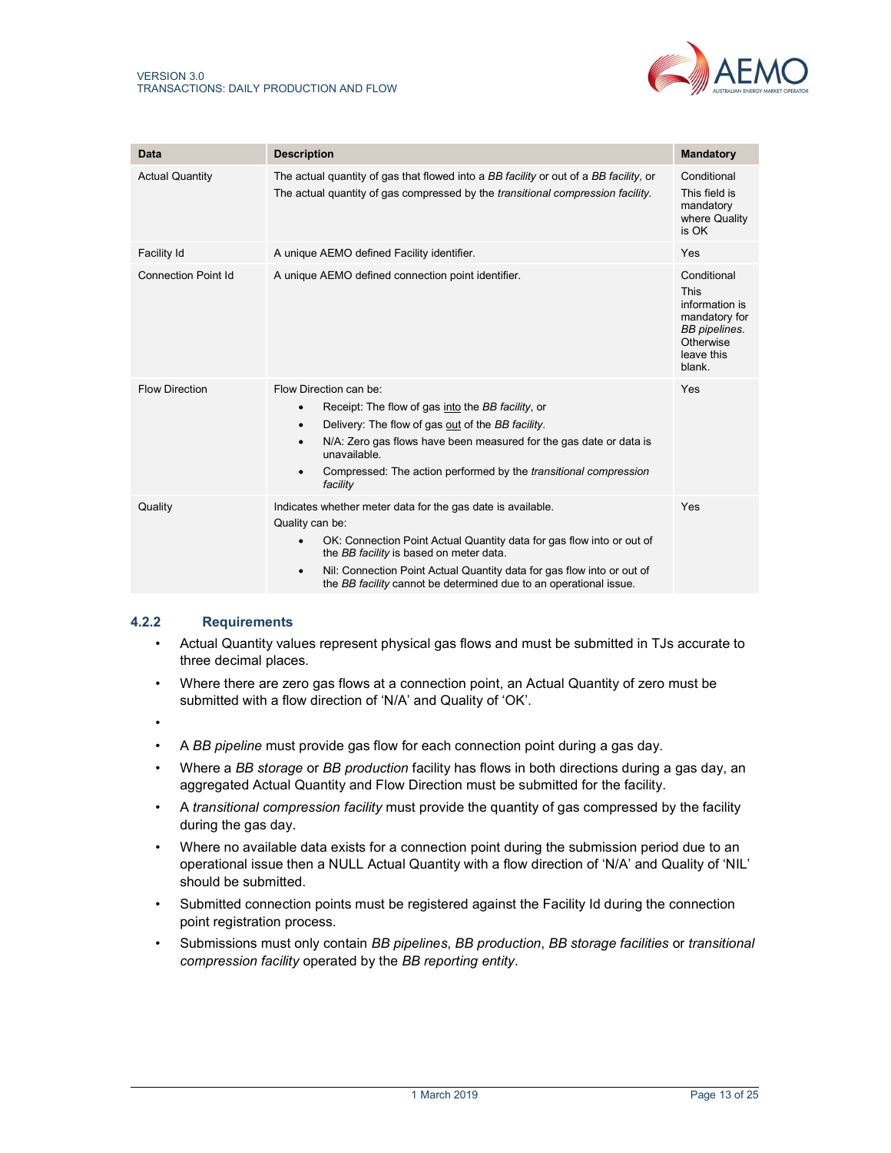

| Data                       | <b>Description</b>                                                                                                                                                                                                                                                                                                                                                | <b>Mandatory</b>                                                                                                    |
|----------------------------|-------------------------------------------------------------------------------------------------------------------------------------------------------------------------------------------------------------------------------------------------------------------------------------------------------------------------------------------------------------------|---------------------------------------------------------------------------------------------------------------------|
| <b>Actual Quantity</b>     | The actual quantity of gas that flowed into a BB facility or out of a BB facility, or<br>The actual quantity of gas compressed by the <i>transitional compression facility</i> .                                                                                                                                                                                  | Conditional<br>This field is<br>mandatory<br>where Quality<br>is OK                                                 |
| Facility Id                | A unique AEMO defined Facility identifier.                                                                                                                                                                                                                                                                                                                        | Yes                                                                                                                 |
| <b>Connection Point Id</b> | A unique AEMO defined connection point identifier.                                                                                                                                                                                                                                                                                                                | Conditional<br><b>This</b><br>information is<br>mandatory for<br>BB pipelines.<br>Otherwise<br>leave this<br>blank. |
| <b>Flow Direction</b>      | Flow Direction can be:<br>Receipt: The flow of gas into the BB facility, or<br>$\bullet$<br>Delivery: The flow of gas out of the BB facility.<br>$\bullet$<br>N/A: Zero gas flows have been measured for the gas date or data is<br>$\bullet$<br>unavailable.<br>Compressed: The action performed by the <i>transitional compression</i><br>$\bullet$<br>facility | Yes                                                                                                                 |
| Quality                    | Indicates whether meter data for the gas date is available.<br>Quality can be:<br>OK: Connection Point Actual Quantity data for gas flow into or out of<br>the BB facility is based on meter data.<br>Nil: Connection Point Actual Quantity data for gas flow into or out of<br>٠<br>the BB facility cannot be determined due to an operational issue.            | Yes                                                                                                                 |

## 4.2.2 Requirements

- Actual Quantity values represent physical gas flows and must be submitted in TJs accurate to three decimal places.
- Where there are zero gas flows at a connection point, an Actual Quantity of zero must be submitted with a flow direction of 'N/A' and Quality of 'OK'.
- •
- A BB pipeline must provide gas flow for each connection point during a gas day.
- Where a BB storage or BB production facility has flows in both directions during a gas day, an aggregated Actual Quantity and Flow Direction must be submitted for the facility.
- A transitional compression facility must provide the quantity of gas compressed by the facility during the gas day.
- Where no available data exists for a connection point during the submission period due to an operational issue then a NULL Actual Quantity with a flow direction of 'N/A' and Quality of 'NIL' should be submitted.
- Submitted connection points must be registered against the Facility Id during the connection point registration process.
- Submissions must only contain BB pipelines, BB production, BB storage facilities or transitional compression facility operated by the BB reporting entity.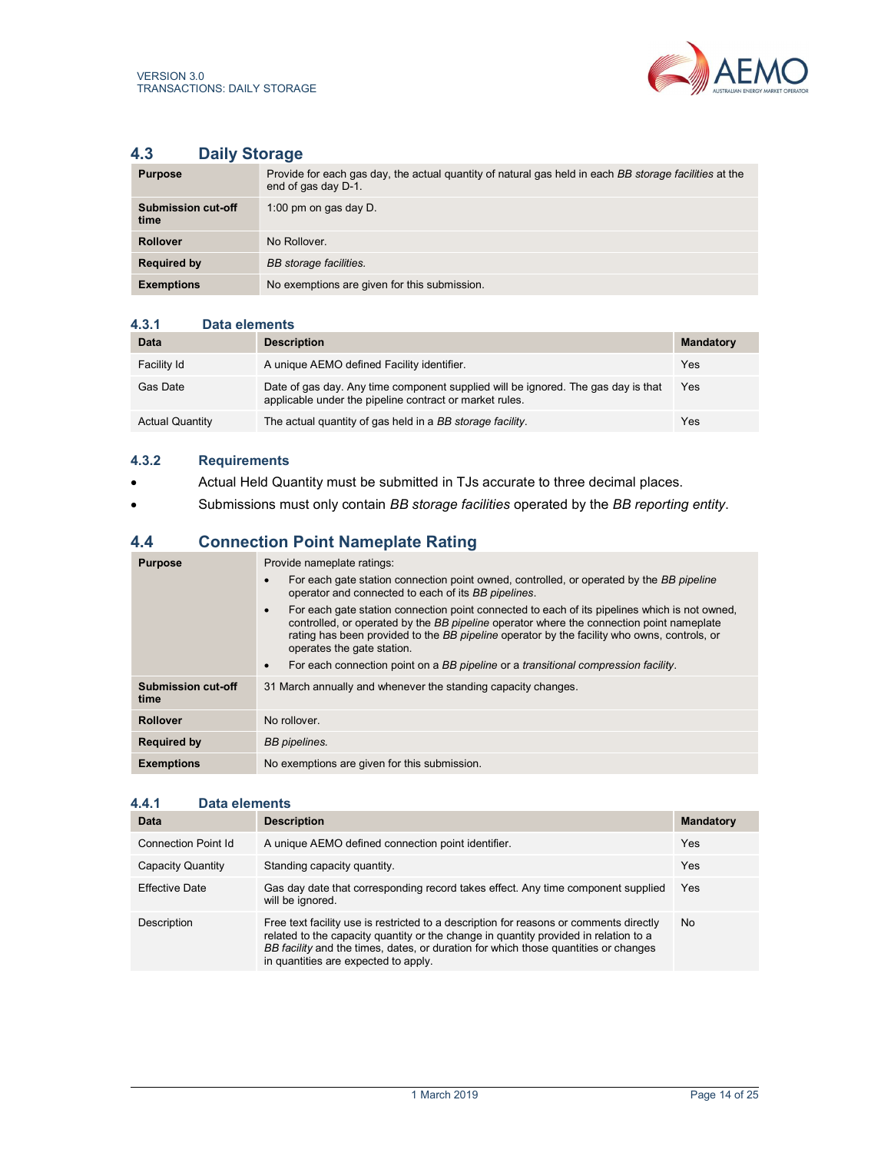

# 4.3 Daily Storage

| <b>Purpose</b>             | Provide for each gas day, the actual quantity of natural gas held in each BB storage facilities at the<br>end of gas day D-1. |
|----------------------------|-------------------------------------------------------------------------------------------------------------------------------|
| Submission cut-off<br>time | 1:00 pm on gas day $D$ .                                                                                                      |
| <b>Rollover</b>            | No Rollover.                                                                                                                  |
| <b>Required by</b>         | BB storage facilities.                                                                                                        |
| <b>Exemptions</b>          | No exemptions are given for this submission.                                                                                  |

#### 4.3.1 Data elements

| Data                   | <b>Description</b>                                                                                                                           | <b>Mandatory</b> |
|------------------------|----------------------------------------------------------------------------------------------------------------------------------------------|------------------|
| Facility Id            | A unique AEMO defined Facility identifier.                                                                                                   | Yes              |
| Gas Date               | Date of gas day. Any time component supplied will be ignored. The gas day is that<br>applicable under the pipeline contract or market rules. | Yes              |
| <b>Actual Quantity</b> | The actual quantity of gas held in a BB storage facility.                                                                                    | Yes              |

## 4.3.2 Requirements

- Actual Held Quantity must be submitted in TJs accurate to three decimal places.
- Submissions must only contain BB storage facilities operated by the BB reporting entity.

# 4.4 Connection Point Nameplate Rating

| <b>Purpose</b>             | Provide nameplate ratings:                                                                                                                                                                                                                                                                                                          |
|----------------------------|-------------------------------------------------------------------------------------------------------------------------------------------------------------------------------------------------------------------------------------------------------------------------------------------------------------------------------------|
|                            | For each gate station connection point owned, controlled, or operated by the BB pipeline<br>operator and connected to each of its BB pipelines.                                                                                                                                                                                     |
|                            | For each gate station connection point connected to each of its pipelines which is not owned.<br>$\bullet$<br>controlled, or operated by the BB pipeline operator where the connection point nameplate<br>rating has been provided to the BB pipeline operator by the facility who owns, controls, or<br>operates the gate station. |
|                            | For each connection point on a BB pipeline or a transitional compression facility.                                                                                                                                                                                                                                                  |
| Submission cut-off<br>time | 31 March annually and whenever the standing capacity changes.                                                                                                                                                                                                                                                                       |
| <b>Rollover</b>            | No rollover.                                                                                                                                                                                                                                                                                                                        |
| <b>Required by</b>         | <b>BB</b> pipelines.                                                                                                                                                                                                                                                                                                                |
| <b>Exemptions</b>          | No exemptions are given for this submission.                                                                                                                                                                                                                                                                                        |

#### 4.4.1 Data elements

| Data                  | <b>Description</b>                                                                                                                                                                                                                                                                                            | <b>Mandatory</b> |
|-----------------------|---------------------------------------------------------------------------------------------------------------------------------------------------------------------------------------------------------------------------------------------------------------------------------------------------------------|------------------|
| Connection Point Id   | A unique AEMO defined connection point identifier.                                                                                                                                                                                                                                                            | Yes              |
| Capacity Quantity     | Standing capacity quantity.                                                                                                                                                                                                                                                                                   | Yes              |
| <b>Effective Date</b> | Gas day date that corresponding record takes effect. Any time component supplied<br>will be ignored.                                                                                                                                                                                                          | Yes              |
| Description           | Free text facility use is restricted to a description for reasons or comments directly<br>related to the capacity quantity or the change in quantity provided in relation to a<br>BB facility and the times, dates, or duration for which those quantities or changes<br>in quantities are expected to apply. | No.              |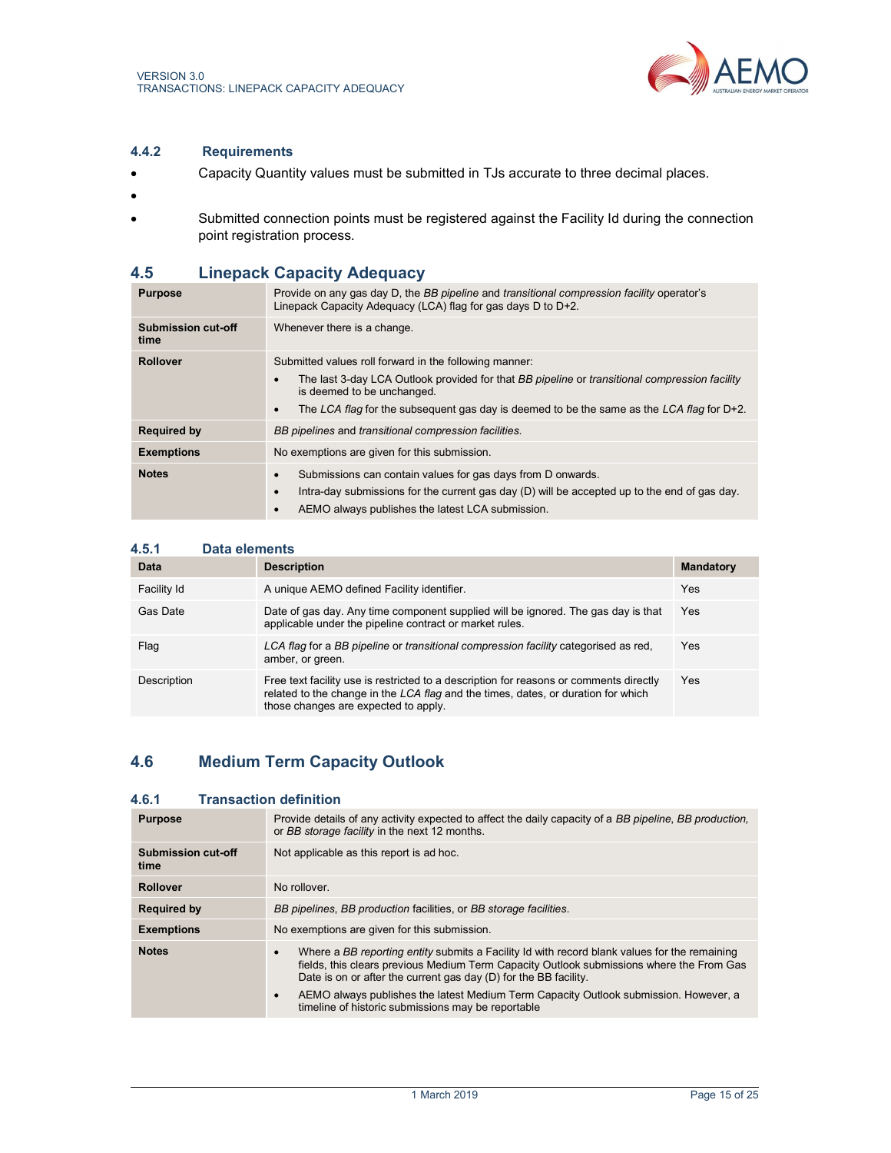

## 4.4.2 Requirements

- Capacity Quantity values must be submitted in TJs accurate to three decimal places.
- $\bullet$
- Submitted connection points must be registered against the Facility Id during the connection point registration process.

# 4.5 Linepack Capacity Adequacy

| <b>Purpose</b>             | Provide on any gas day D, the BB pipeline and transitional compression facility operator's<br>Linepack Capacity Adequacy (LCA) flag for gas days D to D+2.                                                                                                                                         |
|----------------------------|----------------------------------------------------------------------------------------------------------------------------------------------------------------------------------------------------------------------------------------------------------------------------------------------------|
| Submission cut-off<br>time | Whenever there is a change.                                                                                                                                                                                                                                                                        |
| <b>Rollover</b>            | Submitted values roll forward in the following manner:<br>The last 3-day LCA Outlook provided for that BB pipeline or transitional compression facility<br>is deemed to be unchanged.<br>The LCA flag for the subsequent gas day is deemed to be the same as the LCA flag for $D+2$ .<br>$\bullet$ |
| <b>Required by</b>         | BB pipelines and transitional compression facilities.                                                                                                                                                                                                                                              |
| <b>Exemptions</b>          | No exemptions are given for this submission.                                                                                                                                                                                                                                                       |
| <b>Notes</b>               | Submissions can contain values for gas days from D onwards.<br>Intra-day submissions for the current gas day $(D)$ will be accepted up to the end of gas day.<br>AEMO always publishes the latest LCA submission.                                                                                  |

## 4.5.1 Data elements

| Data        | <b>Description</b>                                                                                                                                                                                                  | <b>Mandatory</b> |
|-------------|---------------------------------------------------------------------------------------------------------------------------------------------------------------------------------------------------------------------|------------------|
| Facility Id | A unique AEMO defined Facility identifier.                                                                                                                                                                          | Yes              |
| Gas Date    | Date of gas day. Any time component supplied will be ignored. The gas day is that<br>applicable under the pipeline contract or market rules.                                                                        | Yes              |
| Flag        | LCA flag for a BB pipeline or transitional compression facility categorised as red.<br>amber, or green.                                                                                                             | Yes              |
| Description | Free text facility use is restricted to a description for reasons or comments directly<br>related to the change in the LCA flag and the times, dates, or duration for which<br>those changes are expected to apply. | Yes              |

# 4.6 Medium Term Capacity Outlook

## 4.6.1 Transaction definition

| <b>Purpose</b>                    | Provide details of any activity expected to affect the daily capacity of a BB pipeline, BB production,<br>or BB storage facility in the next 12 months.                                                                                                                                                                                                                                                                              |
|-----------------------------------|--------------------------------------------------------------------------------------------------------------------------------------------------------------------------------------------------------------------------------------------------------------------------------------------------------------------------------------------------------------------------------------------------------------------------------------|
| <b>Submission cut-off</b><br>time | Not applicable as this report is ad hoc.                                                                                                                                                                                                                                                                                                                                                                                             |
| <b>Rollover</b>                   | No rollover.                                                                                                                                                                                                                                                                                                                                                                                                                         |
| <b>Required by</b>                | BB pipelines, BB production facilities, or BB storage facilities.                                                                                                                                                                                                                                                                                                                                                                    |
| <b>Exemptions</b>                 | No exemptions are given for this submission.                                                                                                                                                                                                                                                                                                                                                                                         |
| <b>Notes</b>                      | Where a BB reporting entity submits a Facility Id with record blank values for the remaining<br>$\bullet$<br>fields, this clears previous Medium Term Capacity Outlook submissions where the From Gas<br>Date is on or after the current gas day (D) for the BB facility.<br>AEMO always publishes the latest Medium Term Capacity Outlook submission. However, a<br>$\bullet$<br>timeline of historic submissions may be reportable |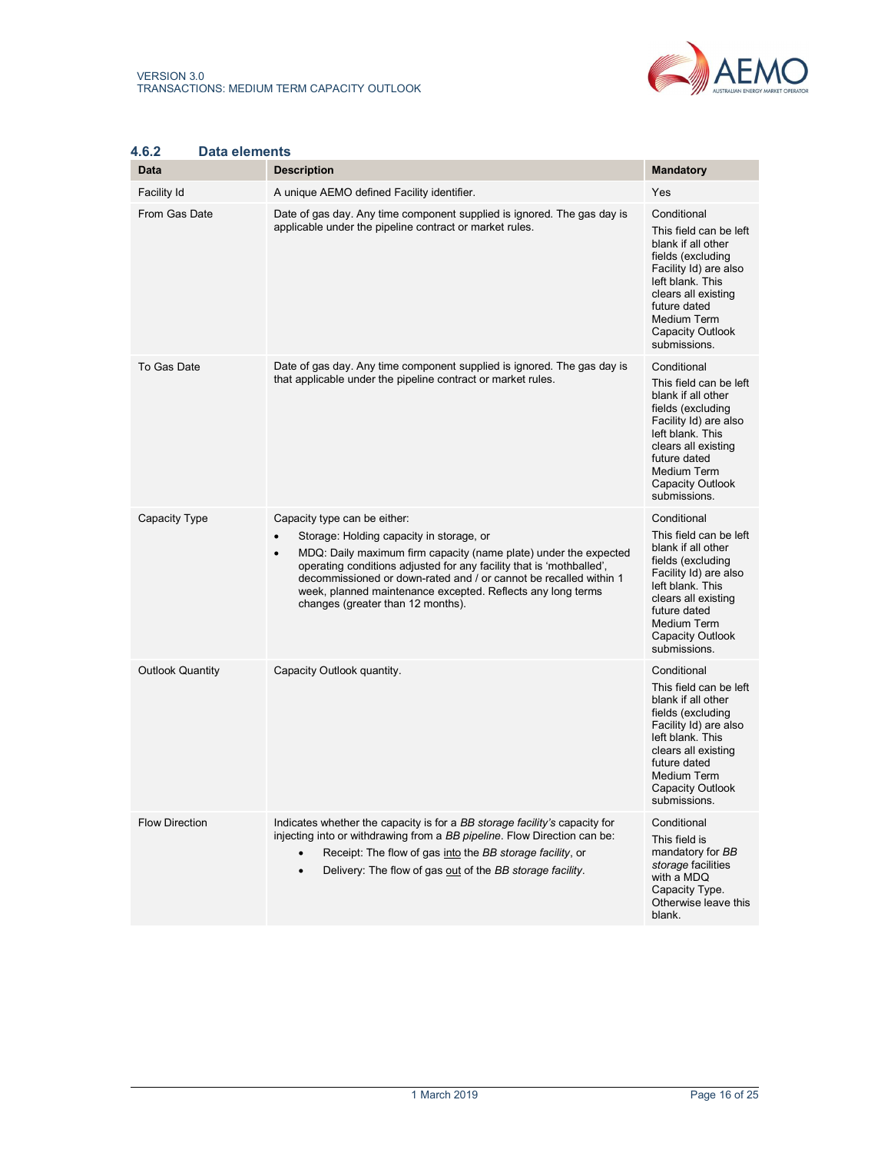

| 4.6.Z<br>Data elements<br><b>Data</b> | <b>Description</b>                                                                                                                                                                                                                                                                                                                                                                                         | <b>Mandatory</b>                                                                                                                                                                                                                      |
|---------------------------------------|------------------------------------------------------------------------------------------------------------------------------------------------------------------------------------------------------------------------------------------------------------------------------------------------------------------------------------------------------------------------------------------------------------|---------------------------------------------------------------------------------------------------------------------------------------------------------------------------------------------------------------------------------------|
| Facility Id                           | A unique AEMO defined Facility identifier.                                                                                                                                                                                                                                                                                                                                                                 | Yes                                                                                                                                                                                                                                   |
| From Gas Date                         | Date of gas day. Any time component supplied is ignored. The gas day is<br>applicable under the pipeline contract or market rules.                                                                                                                                                                                                                                                                         | Conditional<br>This field can be left<br>blank if all other<br>fields (excluding<br>Facility Id) are also<br>left blank. This<br>clears all existing<br>future dated<br>Medium Term<br>Capacity Outlook<br>submissions.               |
| To Gas Date                           | Date of gas day. Any time component supplied is ignored. The gas day is<br>that applicable under the pipeline contract or market rules.                                                                                                                                                                                                                                                                    | Conditional<br>This field can be left<br>blank if all other<br>fields (excluding<br>Facility Id) are also<br>left blank. This<br>clears all existing<br>future dated<br><b>Medium Term</b><br>Capacity Outlook<br>submissions.        |
| <b>Capacity Type</b>                  | Capacity type can be either:<br>Storage: Holding capacity in storage, or<br>MDQ: Daily maximum firm capacity (name plate) under the expected<br>$\bullet$<br>operating conditions adjusted for any facility that is 'mothballed'.<br>decommissioned or down-rated and / or cannot be recalled within 1<br>week, planned maintenance excepted. Reflects any long terms<br>changes (greater than 12 months). | Conditional<br>This field can be left<br>blank if all other<br>fields (excluding<br>Facility Id) are also<br>left blank. This<br>clears all existing<br>future dated<br><b>Medium Term</b><br><b>Capacity Outlook</b><br>submissions. |
| <b>Outlook Quantity</b>               | Capacity Outlook quantity.                                                                                                                                                                                                                                                                                                                                                                                 | Conditional<br>This field can be left<br>blank if all other<br>fields (excluding<br>Facility Id) are also<br>left blank. This<br>clears all existing<br>future dated<br>Medium Term<br><b>Capacity Outlook</b><br>submissions.        |
| <b>Flow Direction</b>                 | Indicates whether the capacity is for a BB storage facility's capacity for<br>injecting into or withdrawing from a BB pipeline. Flow Direction can be:<br>Receipt: The flow of gas into the BB storage facility, or<br>Delivery: The flow of gas out of the BB storage facility.<br>$\bullet$                                                                                                              | Conditional<br>This field is<br>mandatory for BB<br>storage facilities<br>with a MDQ<br>Capacity Type.<br>Otherwise leave this<br>blank.                                                                                              |

# 4.6.2 Data elements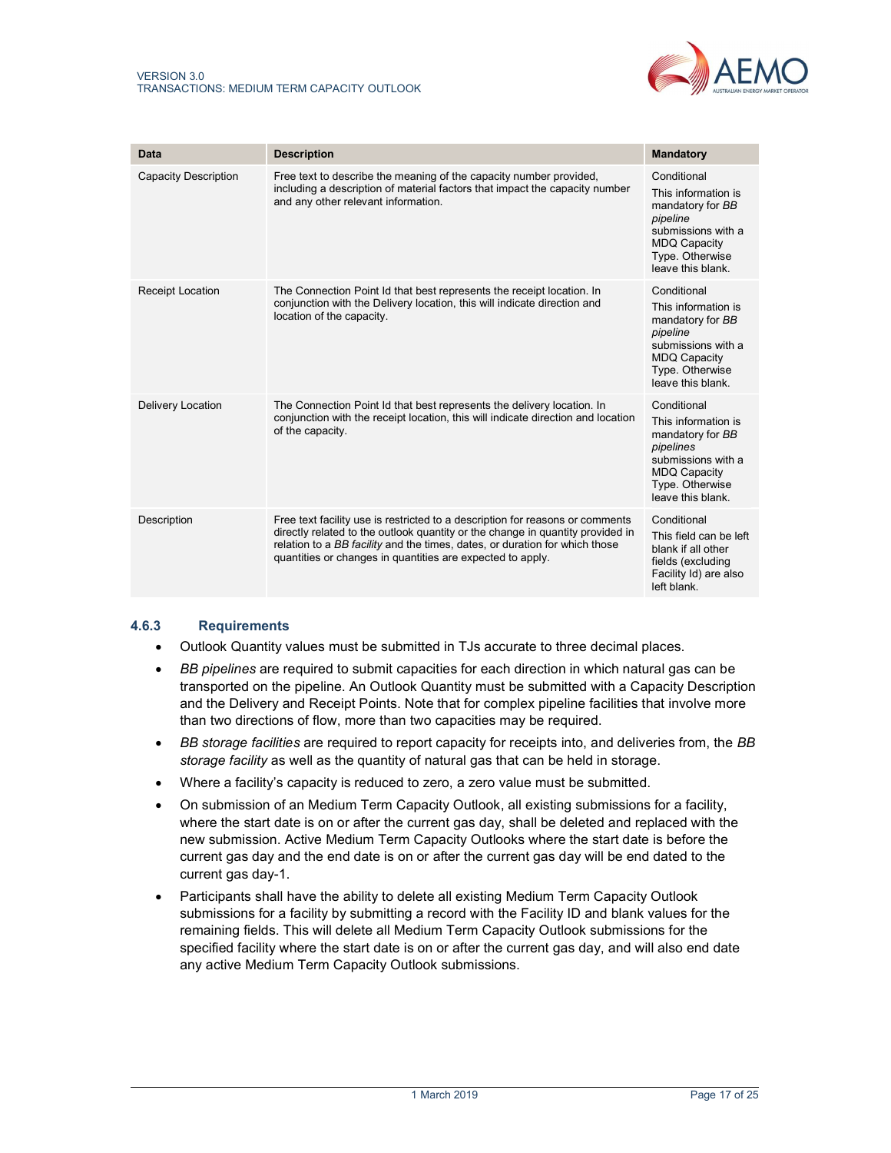

| Data                     | <b>Description</b>                                                                                                                                                                                                                                                                                           | <b>Mandatory</b>                                                                                                                                         |
|--------------------------|--------------------------------------------------------------------------------------------------------------------------------------------------------------------------------------------------------------------------------------------------------------------------------------------------------------|----------------------------------------------------------------------------------------------------------------------------------------------------------|
| Capacity Description     | Free text to describe the meaning of the capacity number provided,<br>including a description of material factors that impact the capacity number<br>and any other relevant information.                                                                                                                     | Conditional<br>This information is<br>mandatory for BB<br>pipeline<br>submissions with a<br><b>MDQ Capacity</b><br>Type. Otherwise<br>leave this blank.  |
| <b>Receipt Location</b>  | The Connection Point Id that best represents the receipt location. In<br>conjunction with the Delivery location, this will indicate direction and<br>location of the capacity.                                                                                                                               | Conditional<br>This information is<br>mandatory for BB<br>pipeline<br>submissions with a<br><b>MDQ Capacity</b><br>Type. Otherwise<br>leave this blank.  |
| <b>Delivery Location</b> | The Connection Point Id that best represents the delivery location. In<br>conjunction with the receipt location, this will indicate direction and location<br>of the capacity.                                                                                                                               | Conditional<br>This information is<br>mandatory for BB<br>pipelines<br>submissions with a<br><b>MDQ Capacity</b><br>Type. Otherwise<br>leave this blank. |
| Description              | Free text facility use is restricted to a description for reasons or comments<br>directly related to the outlook quantity or the change in quantity provided in<br>relation to a BB facility and the times, dates, or duration for which those<br>quantities or changes in quantities are expected to apply. | Conditional<br>This field can be left<br>blank if all other<br>fields (excluding<br>Facility Id) are also<br>left blank.                                 |

## 4.6.3 Requirements

- Outlook Quantity values must be submitted in TJs accurate to three decimal places.
- BB pipelines are required to submit capacities for each direction in which natural gas can be transported on the pipeline. An Outlook Quantity must be submitted with a Capacity Description and the Delivery and Receipt Points. Note that for complex pipeline facilities that involve more than two directions of flow, more than two capacities may be required.
- BB storage facilities are required to report capacity for receipts into, and deliveries from, the BB storage facility as well as the quantity of natural gas that can be held in storage.
- Where a facility's capacity is reduced to zero, a zero value must be submitted.
- On submission of an Medium Term Capacity Outlook, all existing submissions for a facility, where the start date is on or after the current gas day, shall be deleted and replaced with the new submission. Active Medium Term Capacity Outlooks where the start date is before the current gas day and the end date is on or after the current gas day will be end dated to the current gas day-1.
- Participants shall have the ability to delete all existing Medium Term Capacity Outlook submissions for a facility by submitting a record with the Facility ID and blank values for the remaining fields. This will delete all Medium Term Capacity Outlook submissions for the specified facility where the start date is on or after the current gas day, and will also end date any active Medium Term Capacity Outlook submissions.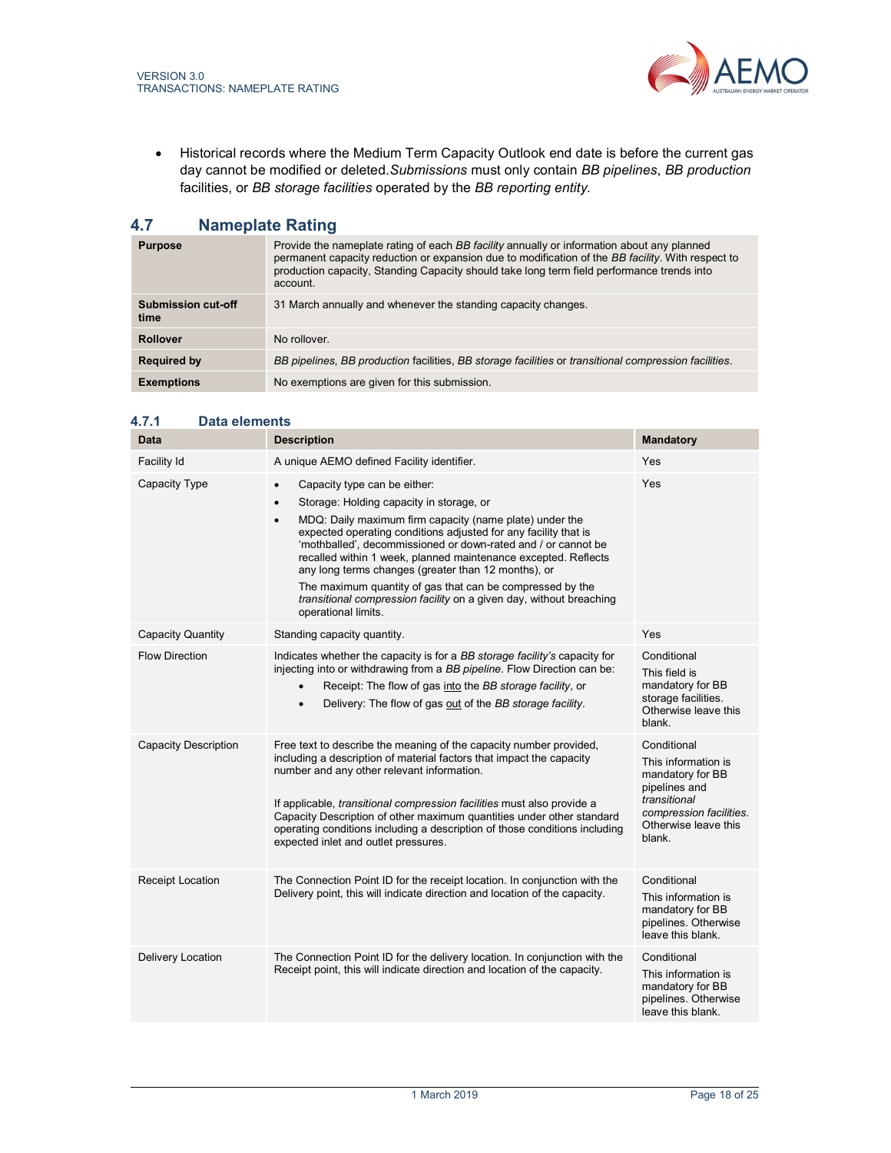

 Historical records where the Medium Term Capacity Outlook end date is before the current gas day cannot be modified or deleted. Submissions must only contain BB pipelines, BB production facilities, or BB storage facilities operated by the BB reporting entity.

# 4.7 Nameplate Rating

| <b>Purpose</b>             | Provide the nameplate rating of each BB facility annually or information about any planned<br>permanent capacity reduction or expansion due to modification of the BB facility. With respect to<br>production capacity, Standing Capacity should take long term field performance trends into<br>account. |
|----------------------------|-----------------------------------------------------------------------------------------------------------------------------------------------------------------------------------------------------------------------------------------------------------------------------------------------------------|
| Submission cut-off<br>time | 31 March annually and whenever the standing capacity changes.                                                                                                                                                                                                                                             |
| <b>Rollover</b>            | No rollover.                                                                                                                                                                                                                                                                                              |
| <b>Required by</b>         | BB pipelines, BB production facilities, BB storage facilities or transitional compression facilities.                                                                                                                                                                                                     |
| <b>Exemptions</b>          | No exemptions are given for this submission.                                                                                                                                                                                                                                                              |

| Data                        | <b>Description</b>                                                                                                                                                                                                                                                                                                                                                                                                                                                                                                                                                                                 | <b>Mandatory</b>                                                                                                                                     |
|-----------------------------|----------------------------------------------------------------------------------------------------------------------------------------------------------------------------------------------------------------------------------------------------------------------------------------------------------------------------------------------------------------------------------------------------------------------------------------------------------------------------------------------------------------------------------------------------------------------------------------------------|------------------------------------------------------------------------------------------------------------------------------------------------------|
| Facility Id                 | A unique AEMO defined Facility identifier.                                                                                                                                                                                                                                                                                                                                                                                                                                                                                                                                                         | Yes                                                                                                                                                  |
| Capacity Type               | Capacity type can be either:<br>$\bullet$<br>Storage: Holding capacity in storage, or<br>$\bullet$<br>MDQ: Daily maximum firm capacity (name plate) under the<br>$\bullet$<br>expected operating conditions adjusted for any facility that is<br>'mothballed', decommissioned or down-rated and / or cannot be<br>recalled within 1 week, planned maintenance excepted. Reflects<br>any long terms changes (greater than 12 months), or<br>The maximum quantity of gas that can be compressed by the<br>transitional compression facility on a given day, without breaching<br>operational limits. | Yes                                                                                                                                                  |
| <b>Capacity Quantity</b>    | Standing capacity quantity.                                                                                                                                                                                                                                                                                                                                                                                                                                                                                                                                                                        | Yes                                                                                                                                                  |
| <b>Flow Direction</b>       | Indicates whether the capacity is for a BB storage facility's capacity for<br>injecting into or withdrawing from a BB pipeline. Flow Direction can be:<br>Receipt: The flow of gas into the BB storage facility, or<br>$\bullet$<br>Delivery: The flow of gas out of the BB storage facility.<br>$\bullet$                                                                                                                                                                                                                                                                                         | Conditional<br>This field is<br>mandatory for BB<br>storage facilities.<br>Otherwise leave this<br>blank.                                            |
| <b>Capacity Description</b> | Free text to describe the meaning of the capacity number provided,<br>including a description of material factors that impact the capacity<br>number and any other relevant information.<br>If applicable, <i>transitional compression facilities</i> must also provide a<br>Capacity Description of other maximum quantities under other standard<br>operating conditions including a description of those conditions including<br>expected inlet and outlet pressures.                                                                                                                           | Conditional<br>This information is<br>mandatory for BB<br>pipelines and<br>transitional<br>compression facilities.<br>Otherwise leave this<br>blank. |
| Receipt Location            | The Connection Point ID for the receipt location. In conjunction with the<br>Delivery point, this will indicate direction and location of the capacity.                                                                                                                                                                                                                                                                                                                                                                                                                                            | Conditional<br>This information is<br>mandatory for BB<br>pipelines. Otherwise<br>leave this blank                                                   |
| Delivery Location           | The Connection Point ID for the delivery location. In conjunction with the<br>Receipt point, this will indicate direction and location of the capacity.                                                                                                                                                                                                                                                                                                                                                                                                                                            | Conditional<br>This information is<br>mandatory for BB<br>pipelines. Otherwise<br>leave this blank.                                                  |

## 4.7.1 Data elements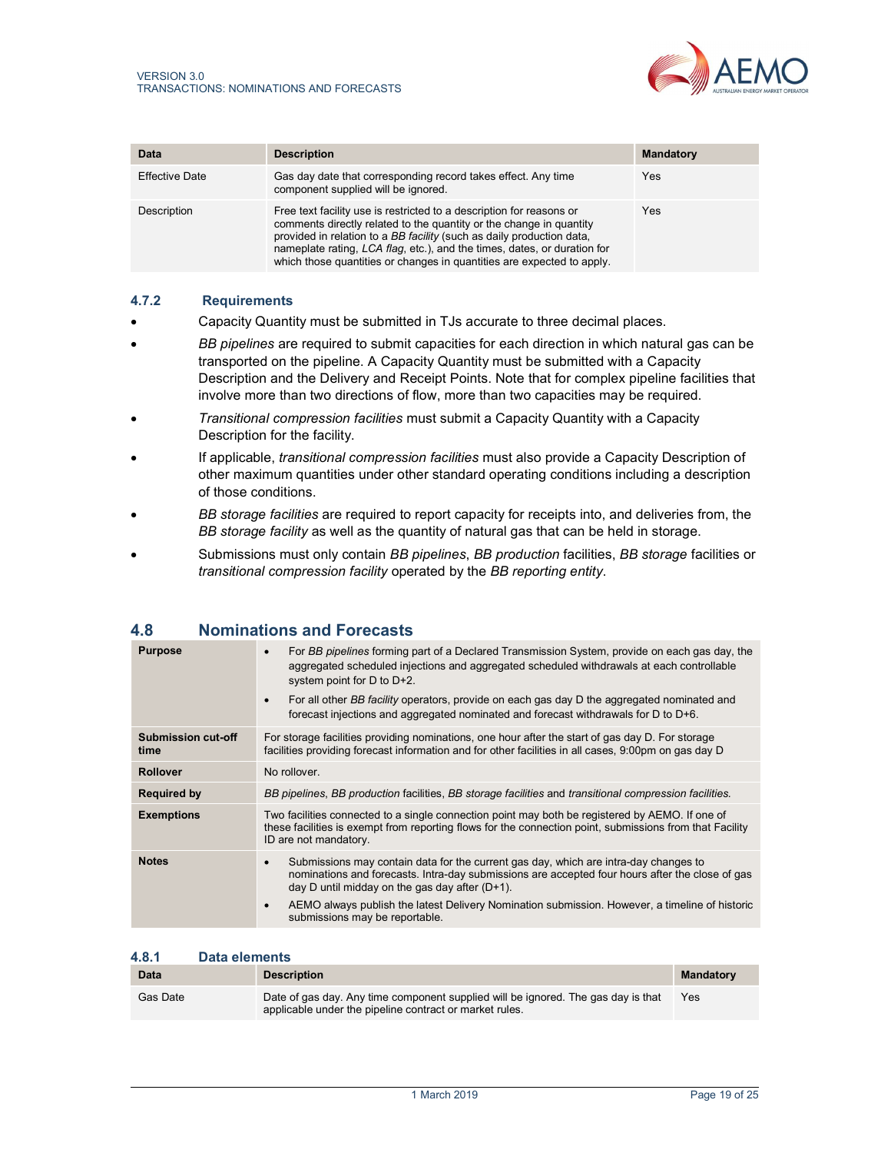

| Data                  | <b>Description</b>                                                                                                                                                                                                                                                                                                                                                         | <b>Mandatory</b> |
|-----------------------|----------------------------------------------------------------------------------------------------------------------------------------------------------------------------------------------------------------------------------------------------------------------------------------------------------------------------------------------------------------------------|------------------|
| <b>Effective Date</b> | Gas day date that corresponding record takes effect. Any time<br>component supplied will be ignored.                                                                                                                                                                                                                                                                       | Yes              |
| <b>Description</b>    | Free text facility use is restricted to a description for reasons or<br>comments directly related to the quantity or the change in quantity<br>provided in relation to a BB facility (such as daily production data,<br>nameplate rating, LCA flag, etc.), and the times, dates, or duration for<br>which those quantities or changes in quantities are expected to apply. | Yes              |

## 4.7.2 Requirements

- Capacity Quantity must be submitted in TJs accurate to three decimal places.
- BB pipelines are required to submit capacities for each direction in which natural gas can be transported on the pipeline. A Capacity Quantity must be submitted with a Capacity Description and the Delivery and Receipt Points. Note that for complex pipeline facilities that involve more than two directions of flow, more than two capacities may be required.
- Transitional compression facilities must submit a Capacity Quantity with a Capacity Description for the facility.
- If applicable, transitional compression facilities must also provide a Capacity Description of other maximum quantities under other standard operating conditions including a description of those conditions.
- BB storage facilities are required to report capacity for receipts into, and deliveries from, the BB storage facility as well as the quantity of natural gas that can be held in storage.
- Submissions must only contain BB pipelines, BB production facilities, BB storage facilities or transitional compression facility operated by the BB reporting entity.

| <b>Purpose</b>                    | For BB pipelines forming part of a Declared Transmission System, provide on each gas day, the<br>$\bullet$<br>aggregated scheduled injections and aggregated scheduled withdrawals at each controllable<br>system point for D to D+2.<br>For all other BB facility operators, provide on each gas day D the aggregated nominated and<br>$\bullet$<br>forecast injections and aggregated nominated and forecast withdrawals for $D$ to $D+6$ . |
|-----------------------------------|-----------------------------------------------------------------------------------------------------------------------------------------------------------------------------------------------------------------------------------------------------------------------------------------------------------------------------------------------------------------------------------------------------------------------------------------------|
| <b>Submission cut-off</b><br>time | For storage facilities providing nominations, one hour after the start of gas day D. For storage<br>facilities providing forecast information and for other facilities in all cases, 9:00pm on gas day D                                                                                                                                                                                                                                      |
| <b>Rollover</b>                   | No rollover.                                                                                                                                                                                                                                                                                                                                                                                                                                  |
| <b>Required by</b>                | BB pipelines, BB production facilities, BB storage facilities and transitional compression facilities.                                                                                                                                                                                                                                                                                                                                        |
| <b>Exemptions</b>                 | Two facilities connected to a single connection point may both be registered by AEMO. If one of<br>these facilities is exempt from reporting flows for the connection point, submissions from that Facility<br>ID are not mandatory.                                                                                                                                                                                                          |
| <b>Notes</b>                      | Submissions may contain data for the current gas day, which are intra-day changes to<br>$\bullet$<br>nominations and forecasts. Intra-day submissions are accepted four hours after the close of gas<br>day D until midday on the gas day after $(D+1)$ .<br>AEMO always publish the latest Delivery Nomination submission. However, a timeline of historic<br>$\bullet$<br>submissions may be reportable.                                    |

## 4.8 Nominations and Forecasts

## 4.8.1 Data elements

| Data     | <b>Description</b>                                                                                                                           | <b>Mandatory</b> |
|----------|----------------------------------------------------------------------------------------------------------------------------------------------|------------------|
| Gas Date | Date of gas day. Any time component supplied will be ignored. The gas day is that<br>applicable under the pipeline contract or market rules. | Yes              |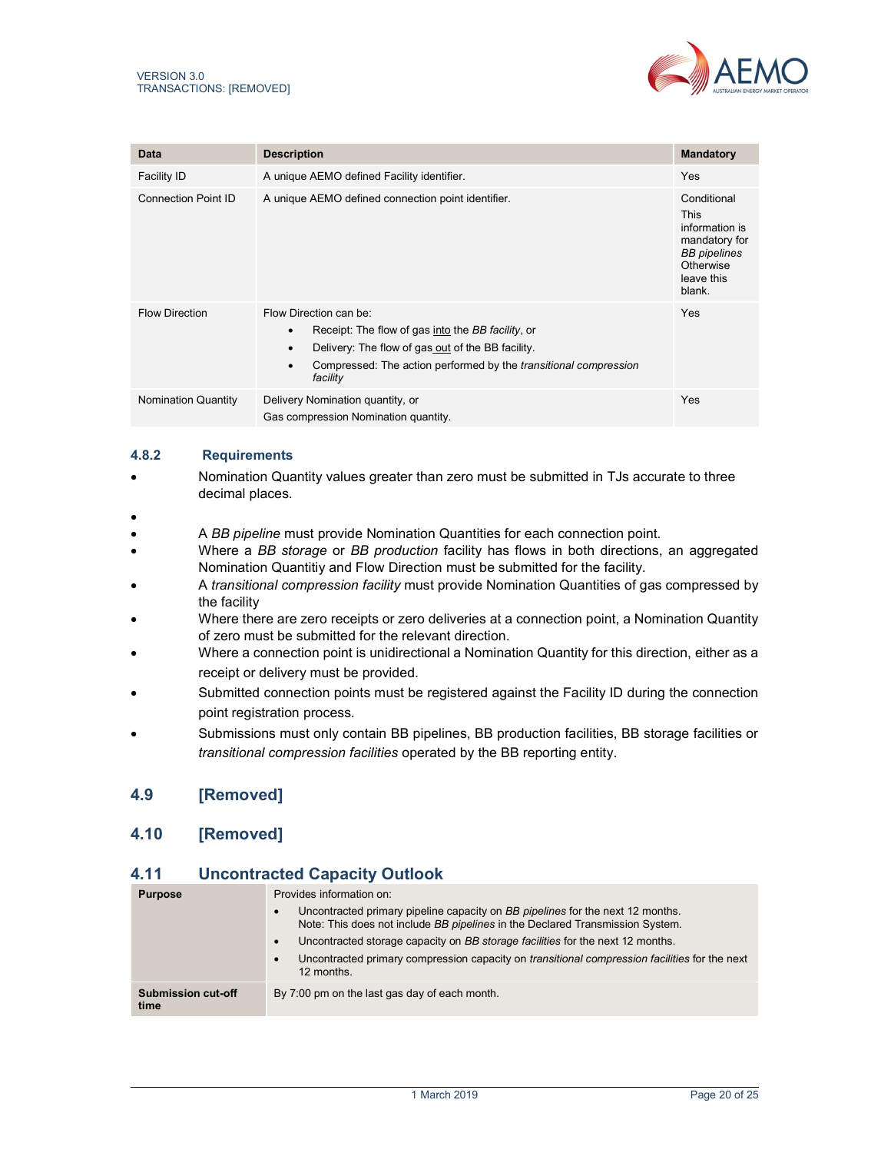

| Data                       | <b>Description</b>                                                                                                                                                                                                                                | <b>Mandatory</b>                                                                                                          |
|----------------------------|---------------------------------------------------------------------------------------------------------------------------------------------------------------------------------------------------------------------------------------------------|---------------------------------------------------------------------------------------------------------------------------|
| Facility ID                | A unique AEMO defined Facility identifier.                                                                                                                                                                                                        | <b>Yes</b>                                                                                                                |
| <b>Connection Point ID</b> | A unique AEMO defined connection point identifier.                                                                                                                                                                                                | Conditional<br><b>This</b><br>information is<br>mandatory for<br><b>BB</b> pipelines<br>Otherwise<br>leave this<br>blank. |
| <b>Flow Direction</b>      | Flow Direction can be:<br>Receipt: The flow of gas into the BB facility, or<br>$\bullet$<br>Delivery: The flow of gas out of the BB facility.<br>Compressed: The action performed by the <i>transitional compression</i><br>$\bullet$<br>facility | Yes                                                                                                                       |
| <b>Nomination Quantity</b> | Delivery Nomination quantity, or<br>Gas compression Nomination quantity.                                                                                                                                                                          | Yes                                                                                                                       |

## 4.8.2 Requirements

- Nomination Quantity values greater than zero must be submitted in TJs accurate to three decimal places.
- $\bullet$
- A BB pipeline must provide Nomination Quantities for each connection point.
- Where a BB storage or BB production facility has flows in both directions, an aggregated Nomination Quantitiy and Flow Direction must be submitted for the facility.
- A transitional compression facility must provide Nomination Quantities of gas compressed by the facility
- Where there are zero receipts or zero deliveries at a connection point, a Nomination Quantity of zero must be submitted for the relevant direction.
- Where a connection point is unidirectional a Nomination Quantity for this direction, either as a receipt or delivery must be provided.
- Submitted connection points must be registered against the Facility ID during the connection point registration process.
- Submissions must only contain BB pipelines, BB production facilities, BB storage facilities or transitional compression facilities operated by the BB reporting entity.

## 4.9 [Removed]

# 4.10 [Removed]

# 4.11 Uncontracted Capacity Outlook

| <b>Purpose</b>             | Provides information on:<br>Uncontracted primary pipeline capacity on BB pipelines for the next 12 months.<br>Note: This does not include BB pipelines in the Declared Transmission System.<br>Uncontracted storage capacity on BB storage facilities for the next 12 months.<br>Uncontracted primary compression capacity on <i>transitional compression facilities</i> for the next<br>12 months. |
|----------------------------|-----------------------------------------------------------------------------------------------------------------------------------------------------------------------------------------------------------------------------------------------------------------------------------------------------------------------------------------------------------------------------------------------------|
| Submission cut-off<br>time | By 7:00 pm on the last gas day of each month.                                                                                                                                                                                                                                                                                                                                                       |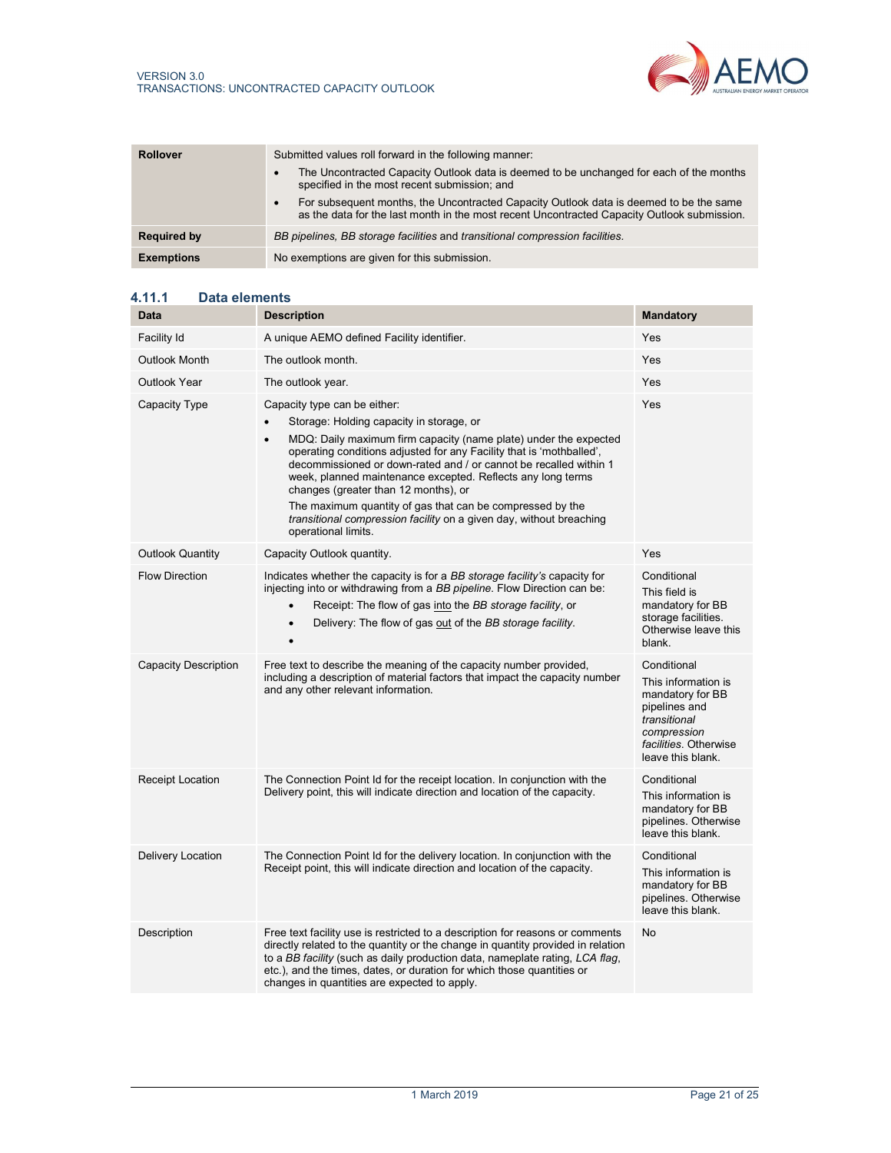

| <b>Rollover</b>    | Submitted values roll forward in the following manner:<br>The Uncontracted Capacity Outlook data is deemed to be unchanged for each of the months<br>specified in the most recent submission; and<br>For subsequent months, the Uncontracted Capacity Outlook data is deemed to be the same<br>as the data for the last month in the most recent Uncontracted Capacity Outlook submission. |
|--------------------|--------------------------------------------------------------------------------------------------------------------------------------------------------------------------------------------------------------------------------------------------------------------------------------------------------------------------------------------------------------------------------------------|
| <b>Required by</b> | BB pipelines, BB storage facilities and transitional compression facilities.                                                                                                                                                                                                                                                                                                               |
| <b>Exemptions</b>  | No exemptions are given for this submission.                                                                                                                                                                                                                                                                                                                                               |

## 4.11.1 Data elements

| Data                        | <b>Description</b>                                                                                                                                                                                                                                                                                                                                                                                                                                                                                                                                                       | <b>Mandatory</b>                                                                                                                                     |
|-----------------------------|--------------------------------------------------------------------------------------------------------------------------------------------------------------------------------------------------------------------------------------------------------------------------------------------------------------------------------------------------------------------------------------------------------------------------------------------------------------------------------------------------------------------------------------------------------------------------|------------------------------------------------------------------------------------------------------------------------------------------------------|
| Facility Id                 | A unique AEMO defined Facility identifier.                                                                                                                                                                                                                                                                                                                                                                                                                                                                                                                               | Yes                                                                                                                                                  |
| <b>Outlook Month</b>        | The outlook month.                                                                                                                                                                                                                                                                                                                                                                                                                                                                                                                                                       | Yes                                                                                                                                                  |
| Outlook Year                | The outlook year.                                                                                                                                                                                                                                                                                                                                                                                                                                                                                                                                                        | Yes                                                                                                                                                  |
| Capacity Type               | Capacity type can be either:<br>Storage: Holding capacity in storage, or<br>MDQ: Daily maximum firm capacity (name plate) under the expected<br>$\bullet$<br>operating conditions adjusted for any Facility that is 'mothballed',<br>decommissioned or down-rated and / or cannot be recalled within 1<br>week, planned maintenance excepted. Reflects any long terms<br>changes (greater than 12 months), or<br>The maximum quantity of gas that can be compressed by the<br>transitional compression facility on a given day, without breaching<br>operational limits. | Yes                                                                                                                                                  |
| <b>Outlook Quantity</b>     | Capacity Outlook quantity.                                                                                                                                                                                                                                                                                                                                                                                                                                                                                                                                               | Yes                                                                                                                                                  |
| <b>Flow Direction</b>       | Indicates whether the capacity is for a BB storage facility's capacity for<br>injecting into or withdrawing from a BB pipeline. Flow Direction can be:<br>Receipt: The flow of gas into the BB storage facility, or<br>$\bullet$<br>Delivery: The flow of gas out of the BB storage facility.<br>$\bullet$<br>$\bullet$                                                                                                                                                                                                                                                  | Conditional<br>This field is<br>mandatory for BB<br>storage facilities.<br>Otherwise leave this<br>blank.                                            |
| <b>Capacity Description</b> | Free text to describe the meaning of the capacity number provided,<br>including a description of material factors that impact the capacity number<br>and any other relevant information.                                                                                                                                                                                                                                                                                                                                                                                 | Conditional<br>This information is<br>mandatory for BB<br>pipelines and<br>transitional<br>compression<br>facilities. Otherwise<br>leave this blank. |
| Receipt Location            | The Connection Point Id for the receipt location. In conjunction with the<br>Delivery point, this will indicate direction and location of the capacity.                                                                                                                                                                                                                                                                                                                                                                                                                  | Conditional<br>This information is<br>mandatory for BB<br>pipelines. Otherwise<br>leave this blank.                                                  |
| Delivery Location           | The Connection Point Id for the delivery location. In conjunction with the<br>Receipt point, this will indicate direction and location of the capacity.                                                                                                                                                                                                                                                                                                                                                                                                                  | Conditional<br>This information is<br>mandatory for BB<br>pipelines. Otherwise<br>leave this blank.                                                  |
| Description                 | Free text facility use is restricted to a description for reasons or comments<br>directly related to the quantity or the change in quantity provided in relation<br>to a BB facility (such as daily production data, nameplate rating, LCA flag,<br>etc.), and the times, dates, or duration for which those quantities or<br>changes in quantities are expected to apply.                                                                                                                                                                                               | <b>No</b>                                                                                                                                            |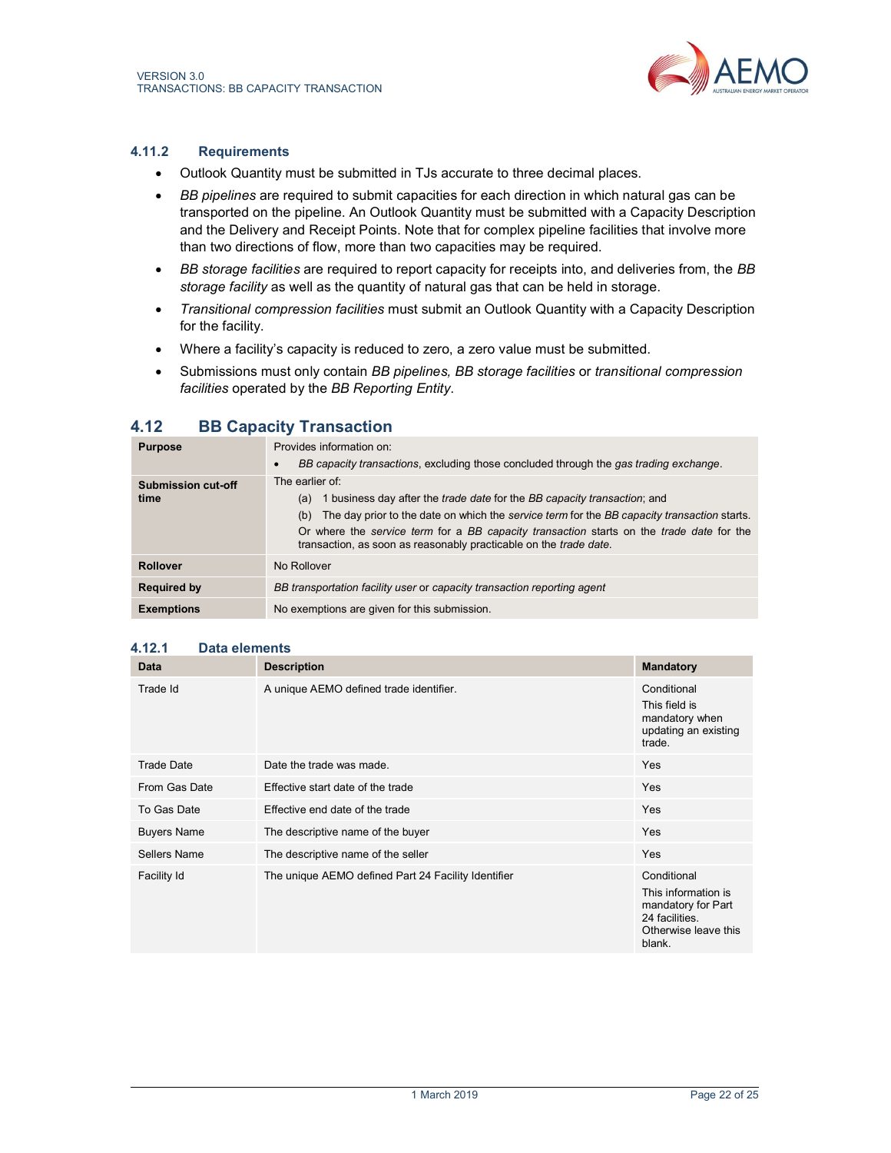

#### 4.11.2 Requirements

- Outlook Quantity must be submitted in TJs accurate to three decimal places.
- BB pipelines are required to submit capacities for each direction in which natural gas can be transported on the pipeline. An Outlook Quantity must be submitted with a Capacity Description and the Delivery and Receipt Points. Note that for complex pipeline facilities that involve more than two directions of flow, more than two capacities may be required.
- **BB storage facilities are required to report capacity for receipts into, and deliveries from, the BB** storage facility as well as the quantity of natural gas that can be held in storage.
- Transitional compression facilities must submit an Outlook Quantity with a Capacity Description for the facility.
- Where a facility's capacity is reduced to zero, a zero value must be submitted.
- Submissions must only contain BB pipelines, BB storage facilities or transitional compression facilities operated by the BB Reporting Entity.

# 4.12 BB Capacity Transaction

| <b>Purpose</b>                    | Provides information on:<br>BB capacity transactions, excluding those concluded through the gas trading exchange.                                                                                                                                                                                                                                                                        |
|-----------------------------------|------------------------------------------------------------------------------------------------------------------------------------------------------------------------------------------------------------------------------------------------------------------------------------------------------------------------------------------------------------------------------------------|
| <b>Submission cut-off</b><br>time | The earlier of:<br>1 business day after the <i>trade date</i> for the <i>BB capacity transaction</i> ; and<br>(a)<br>The day prior to the date on which the service term for the BB capacity transaction starts.<br>(b)<br>Or where the service term for a BB capacity transaction starts on the trade date for the<br>transaction, as soon as reasonably practicable on the trade date. |
| <b>Rollover</b>                   | No Rollover                                                                                                                                                                                                                                                                                                                                                                              |
| <b>Required by</b>                | BB transportation facility user or capacity transaction reporting agent                                                                                                                                                                                                                                                                                                                  |
| <b>Exemptions</b>                 | No exemptions are given for this submission.                                                                                                                                                                                                                                                                                                                                             |

#### 4.12.1 Data elements

| <b>Data</b>        | <b>Description</b>                                  | <b>Mandatory</b>                                                                                             |
|--------------------|-----------------------------------------------------|--------------------------------------------------------------------------------------------------------------|
| Trade Id           | A unique AEMO defined trade identifier.             | Conditional<br>This field is<br>mandatory when<br>updating an existing<br>trade.                             |
| Trade Date         | Date the trade was made.                            | <b>Yes</b>                                                                                                   |
| From Gas Date      | Effective start date of the trade                   | <b>Yes</b>                                                                                                   |
| To Gas Date        | Effective end date of the trade                     | Yes                                                                                                          |
| <b>Buyers Name</b> | The descriptive name of the buyer                   | Yes                                                                                                          |
| Sellers Name       | The descriptive name of the seller                  | Yes                                                                                                          |
| Facility Id        | The unique AEMO defined Part 24 Facility Identifier | Conditional<br>This information is<br>mandatory for Part<br>24 facilities.<br>Otherwise leave this<br>blank. |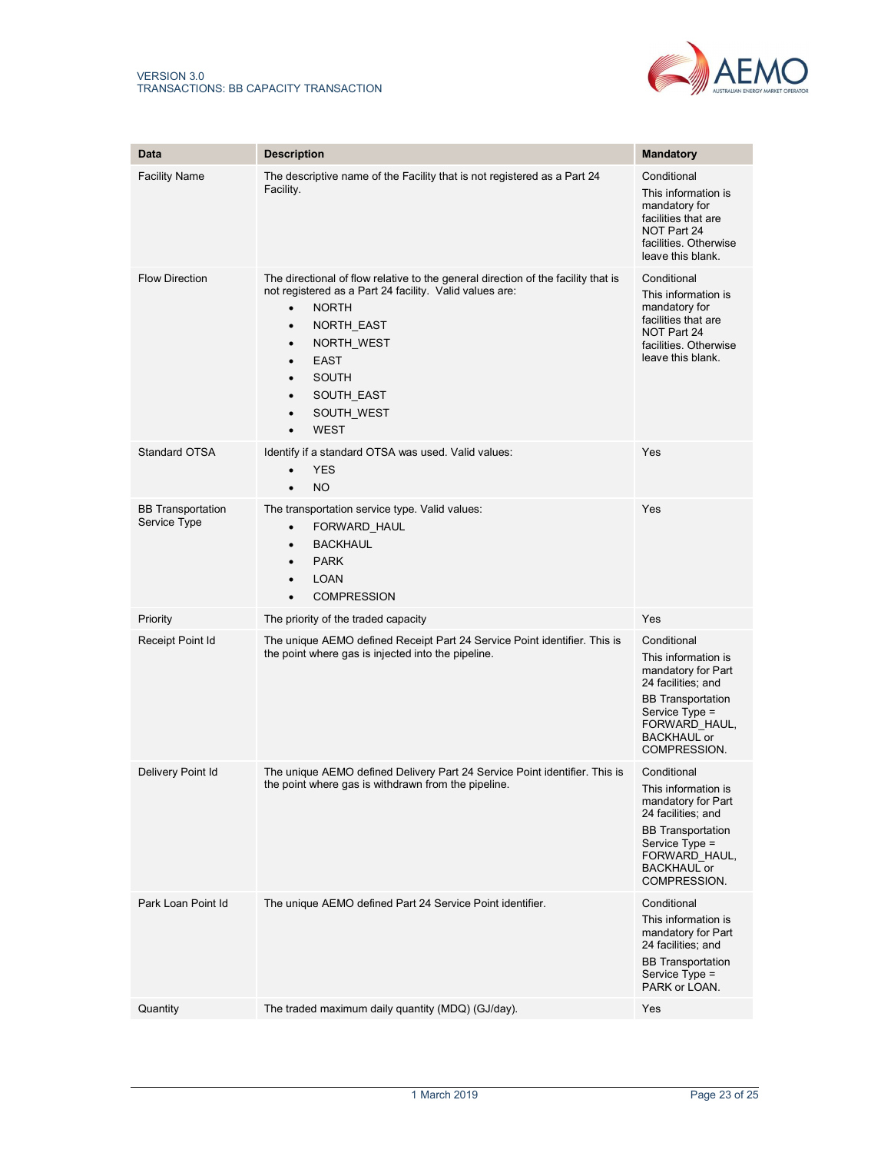

| Data                                     |                                                                                                                                                                                                                                                                                                                                                                            |                                                                                                                                                                                     |
|------------------------------------------|----------------------------------------------------------------------------------------------------------------------------------------------------------------------------------------------------------------------------------------------------------------------------------------------------------------------------------------------------------------------------|-------------------------------------------------------------------------------------------------------------------------------------------------------------------------------------|
|                                          | <b>Description</b>                                                                                                                                                                                                                                                                                                                                                         | Mandatory                                                                                                                                                                           |
| <b>Facility Name</b>                     | The descriptive name of the Facility that is not registered as a Part 24<br>Facility.                                                                                                                                                                                                                                                                                      | Conditional<br>This information is<br>mandatory for<br>facilities that are<br>NOT Part 24<br>facilities. Otherwise<br>leave this blank.                                             |
| <b>Flow Direction</b>                    | The directional of flow relative to the general direction of the facility that is<br>not registered as a Part 24 facility. Valid values are:<br><b>NORTH</b><br>$\bullet$<br>NORTH_EAST<br>$\bullet$<br>NORTH_WEST<br>$\bullet$<br><b>EAST</b><br>$\bullet$<br><b>SOUTH</b><br>$\bullet$<br>SOUTH_EAST<br>$\bullet$<br>SOUTH_WEST<br>$\bullet$<br><b>WEST</b><br>$\bullet$ | Conditional<br>This information is<br>mandatory for<br>facilities that are<br>NOT Part 24<br>facilities. Otherwise<br>leave this blank.                                             |
| Standard OTSA                            | Identify if a standard OTSA was used. Valid values:<br><b>YES</b><br><b>NO</b><br>$\bullet$                                                                                                                                                                                                                                                                                | Yes                                                                                                                                                                                 |
| <b>BB Transportation</b><br>Service Type | The transportation service type. Valid values:<br>FORWARD HAUL<br>$\bullet$<br><b>BACKHAUL</b><br>$\bullet$<br><b>PARK</b><br>$\bullet$<br><b>LOAN</b><br>$\bullet$<br><b>COMPRESSION</b><br>$\bullet$                                                                                                                                                                     | Yes                                                                                                                                                                                 |
| Priority                                 | The priority of the traded capacity                                                                                                                                                                                                                                                                                                                                        | Yes                                                                                                                                                                                 |
| Receipt Point Id                         | The unique AEMO defined Receipt Part 24 Service Point identifier. This is<br>the point where gas is injected into the pipeline.                                                                                                                                                                                                                                            | Conditional<br>This information is<br>mandatory for Part<br>24 facilities; and<br><b>BB</b> Transportation<br>Service Type =<br>FORWARD HAUL,<br><b>BACKHAUL or</b><br>COMPRESSION. |
| Delivery Point Id                        | The unique AEMO defined Delivery Part 24 Service Point identifier. This is<br>the point where gas is withdrawn from the pipeline.                                                                                                                                                                                                                                          | Conditional<br>This information is<br>mandatory for Part<br>24 facilities; and<br><b>BB</b> Transportation<br>Service Type =<br>FORWARD HAUL,<br><b>BACKHAUL or</b><br>COMPRESSION. |
| Park Loan Point Id                       | The unique AEMO defined Part 24 Service Point identifier.                                                                                                                                                                                                                                                                                                                  | Conditional<br>This information is<br>mandatory for Part<br>24 facilities; and<br><b>BB</b> Transportation<br>Service Type =<br>PARK or LOAN.                                       |
| Quantity                                 | The traded maximum daily quantity (MDQ) (GJ/day).                                                                                                                                                                                                                                                                                                                          | Yes                                                                                                                                                                                 |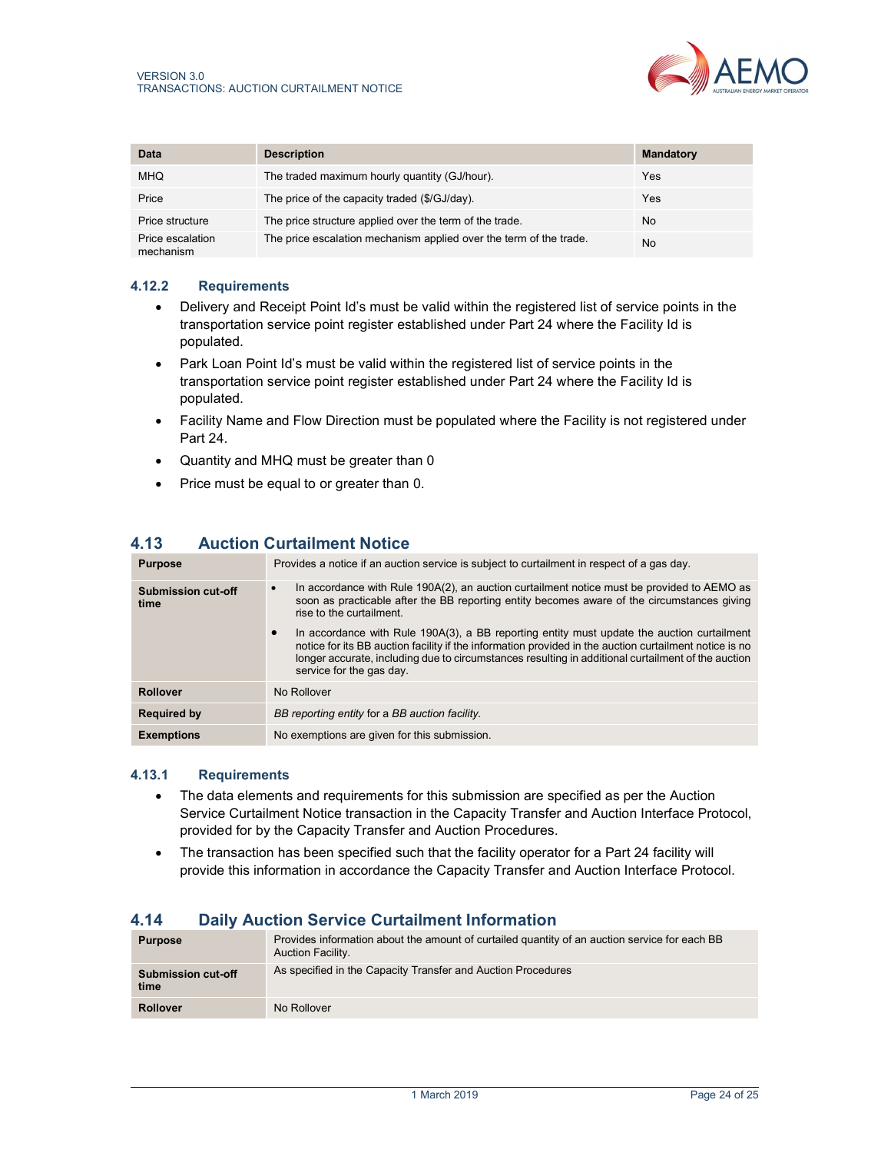| Data                          | <b>Description</b>                                                 | <b>Mandatory</b> |
|-------------------------------|--------------------------------------------------------------------|------------------|
| <b>MHQ</b>                    | The traded maximum hourly quantity (GJ/hour).                      | Yes              |
| Price                         | The price of the capacity traded (\$/GJ/day).                      | Yes              |
| Price structure               | The price structure applied over the term of the trade.            | No               |
| Price escalation<br>mechanism | The price escalation mechanism applied over the term of the trade. | No               |

#### 4.12.2 Requirements

- Delivery and Receipt Point Id's must be valid within the registered list of service points in the transportation service point register established under Part 24 where the Facility Id is populated.
- Park Loan Point Id's must be valid within the registered list of service points in the transportation service point register established under Part 24 where the Facility Id is populated.
- Facility Name and Flow Direction must be populated where the Facility is not registered under Part 24.
- Quantity and MHQ must be greater than 0
- Price must be equal to or greater than 0.

# 4.13 Auction Curtailment Notice

| <b>Purpose</b>             | Provides a notice if an auction service is subject to curtailment in respect of a gas day.                                                                                                                                                                                                                                             |  |
|----------------------------|----------------------------------------------------------------------------------------------------------------------------------------------------------------------------------------------------------------------------------------------------------------------------------------------------------------------------------------|--|
| Submission cut-off<br>time | In accordance with Rule 190A(2), an auction curtailment notice must be provided to AEMO as<br>$\bullet$<br>soon as practicable after the BB reporting entity becomes aware of the circumstances giving<br>rise to the curtailment                                                                                                      |  |
|                            | In accordance with Rule 190A(3), a BB reporting entity must update the auction curtailment<br>notice for its BB auction facility if the information provided in the auction curtailment notice is no<br>longer accurate, including due to circumstances resulting in additional curtailment of the auction<br>service for the gas day. |  |
| Rollover                   | No Rollover                                                                                                                                                                                                                                                                                                                            |  |
| <b>Required by</b>         | BB reporting entity for a BB auction facility.                                                                                                                                                                                                                                                                                         |  |
| <b>Exemptions</b>          | No exemptions are given for this submission.                                                                                                                                                                                                                                                                                           |  |

#### 4.13.1 Requirements

- The data elements and requirements for this submission are specified as per the Auction Service Curtailment Notice transaction in the Capacity Transfer and Auction Interface Protocol, provided for by the Capacity Transfer and Auction Procedures.
- The transaction has been specified such that the facility operator for a Part 24 facility will provide this information in accordance the Capacity Transfer and Auction Interface Protocol.

## 4.14 Daily Auction Service Curtailment Information

| <b>Purpose</b>                    | Provides information about the amount of curtailed quantity of an auction service for each BB<br>Auction Facility. |
|-----------------------------------|--------------------------------------------------------------------------------------------------------------------|
| <b>Submission cut-off</b><br>time | As specified in the Capacity Transfer and Auction Procedures                                                       |
| <b>Rollover</b>                   | No Rollover                                                                                                        |